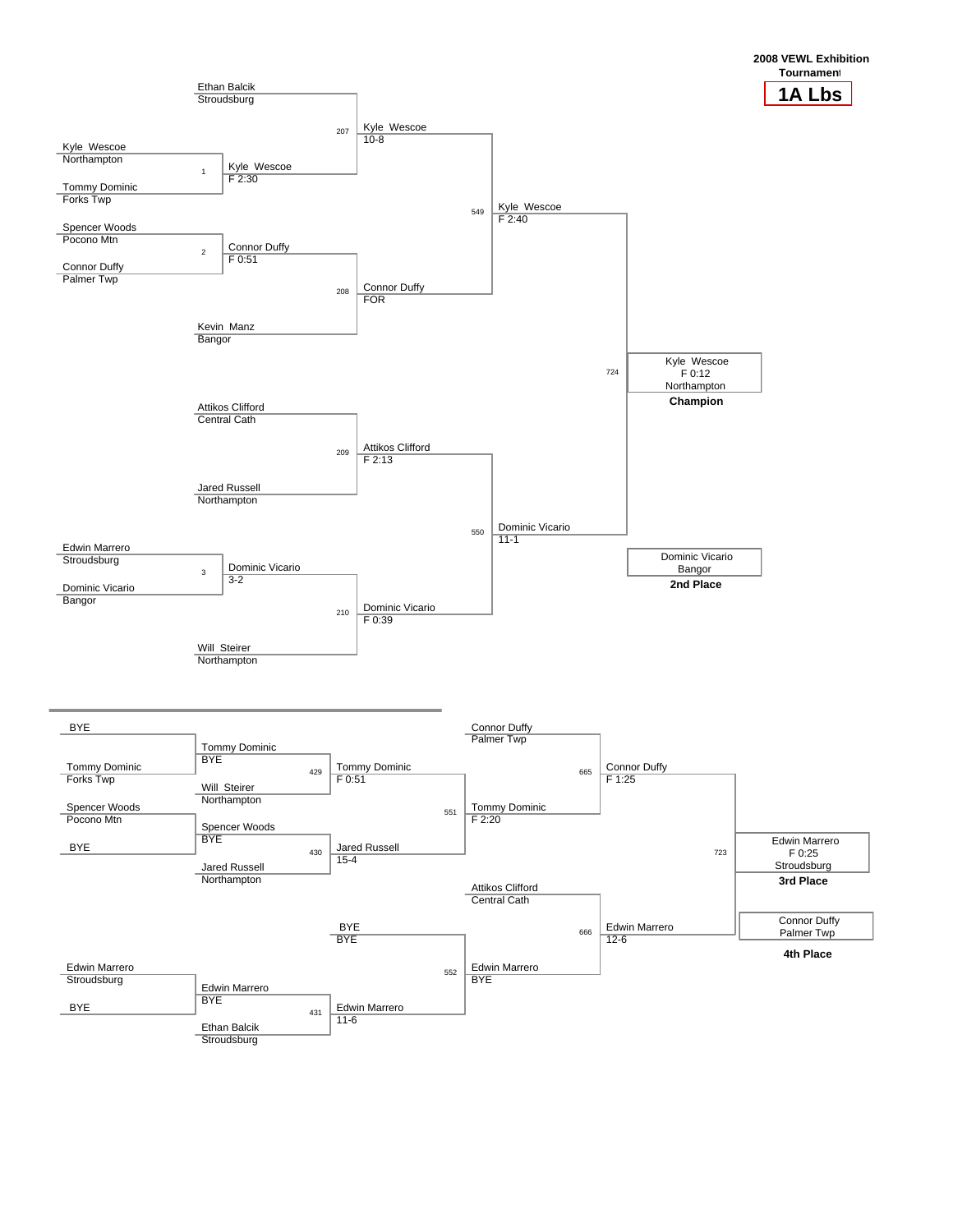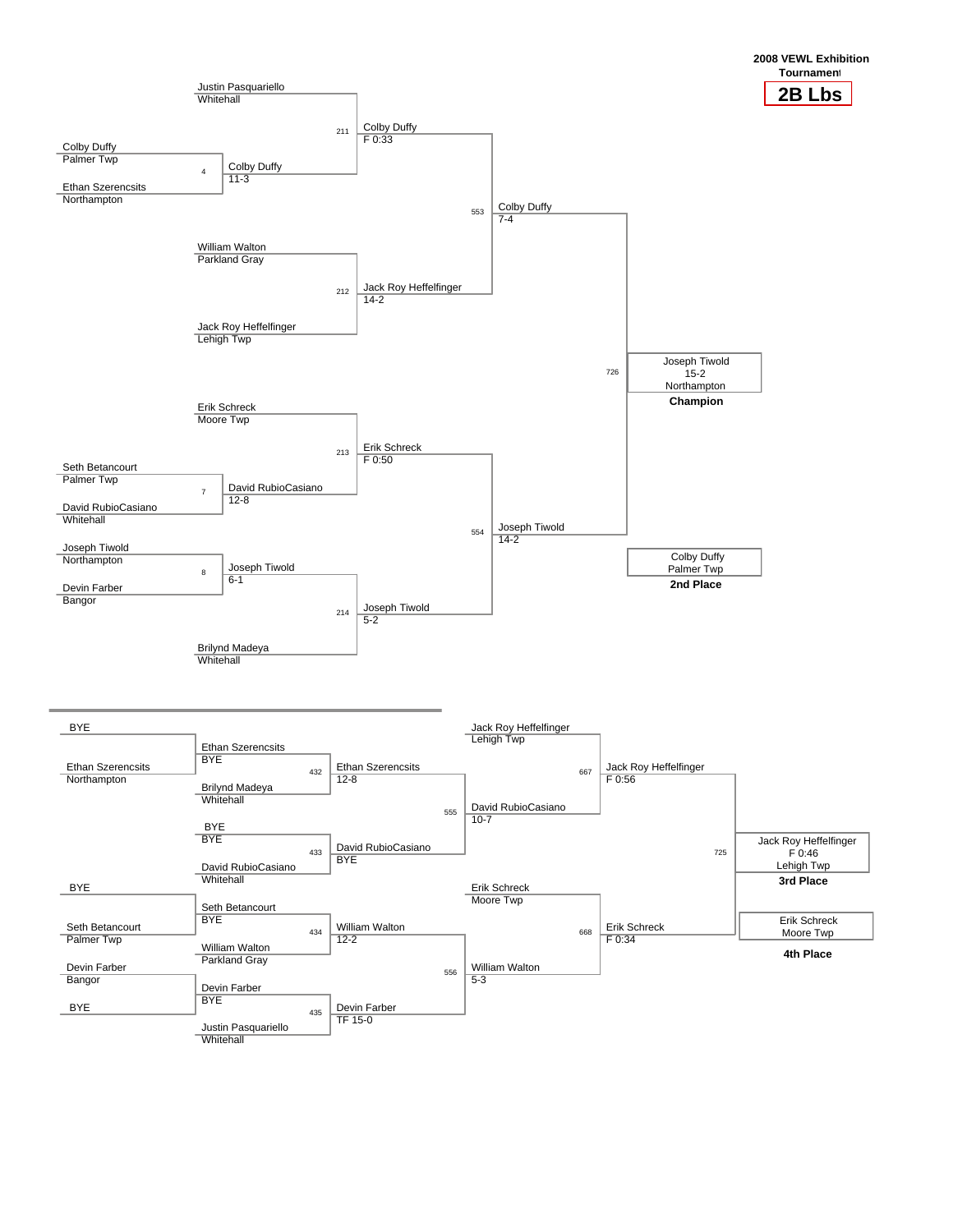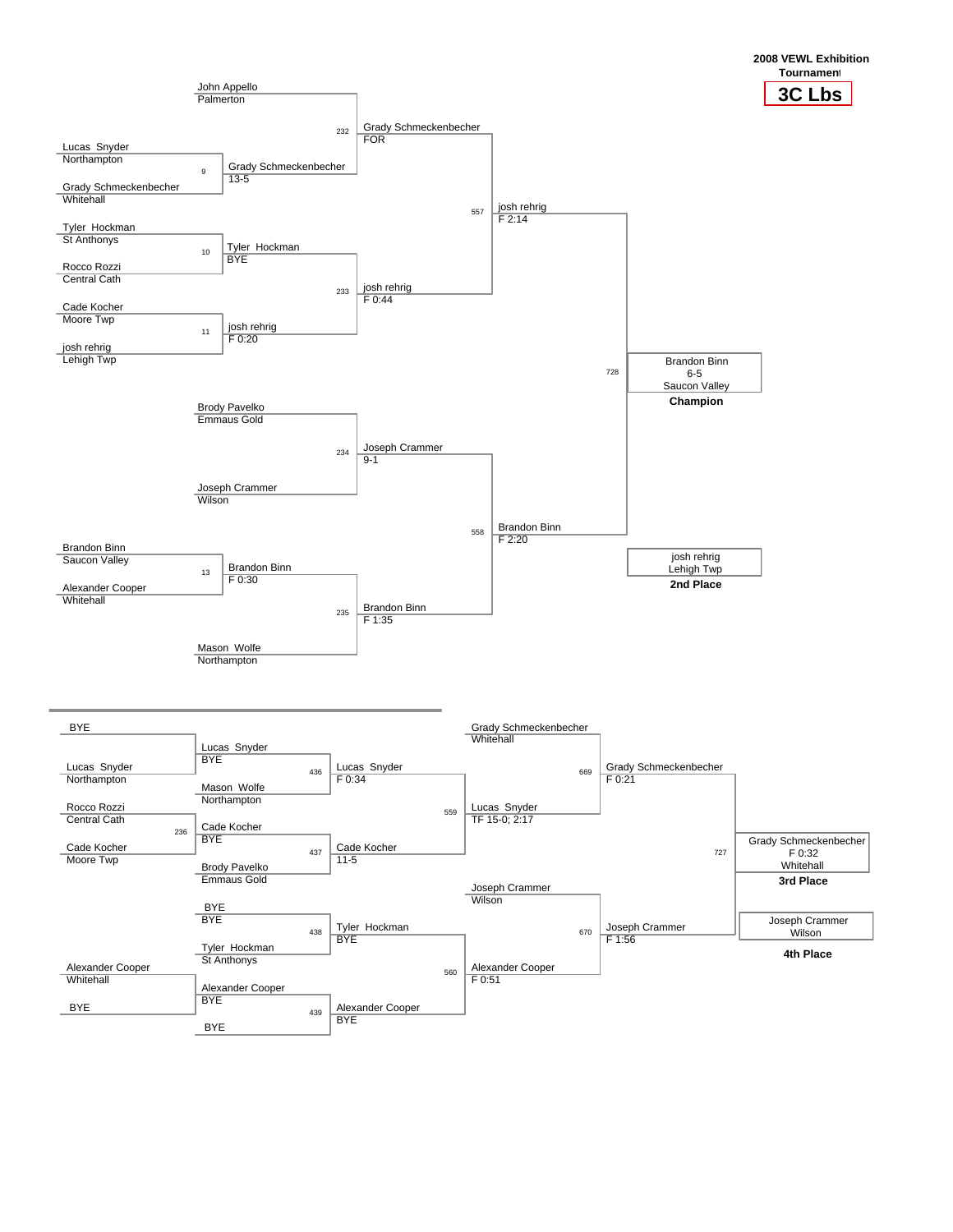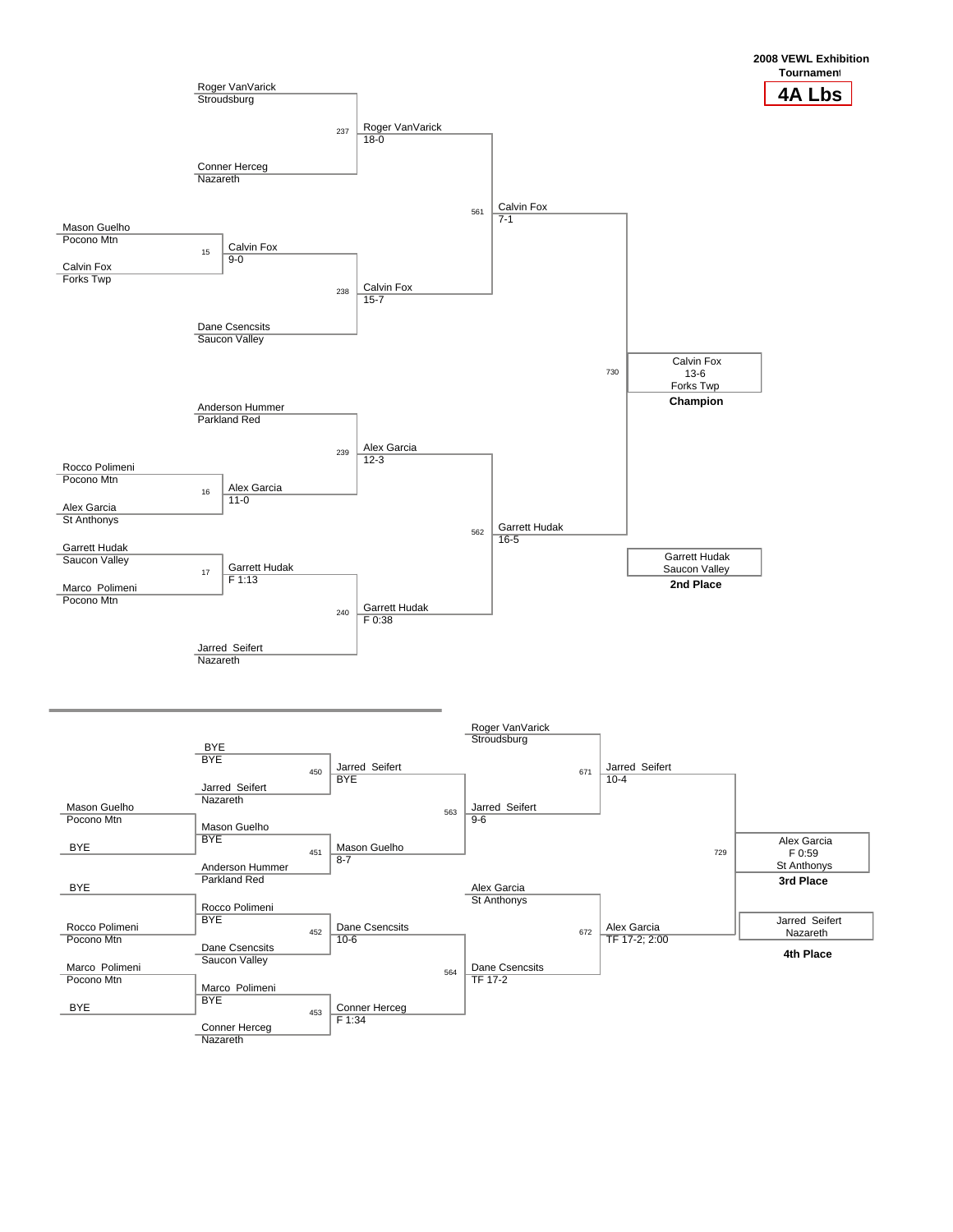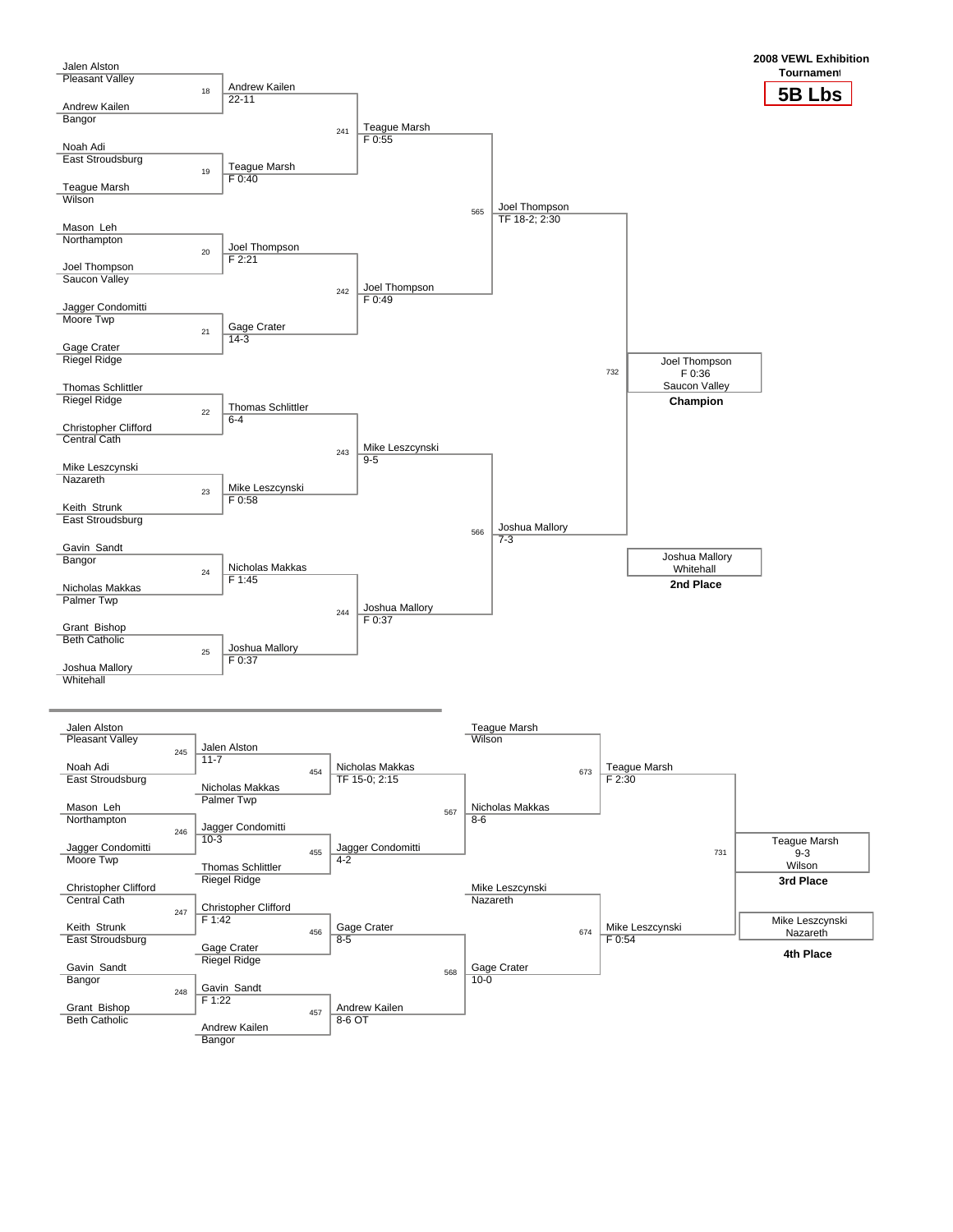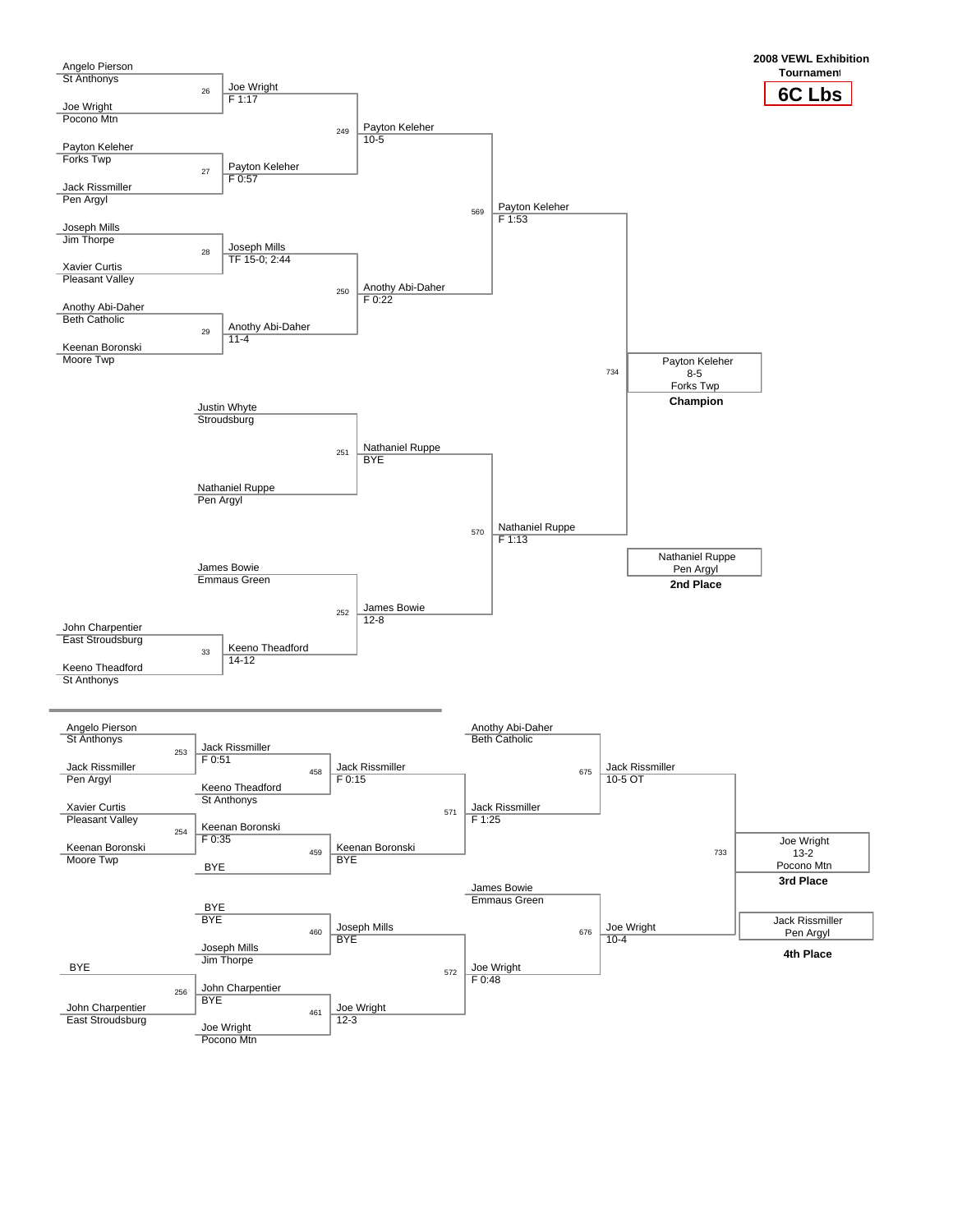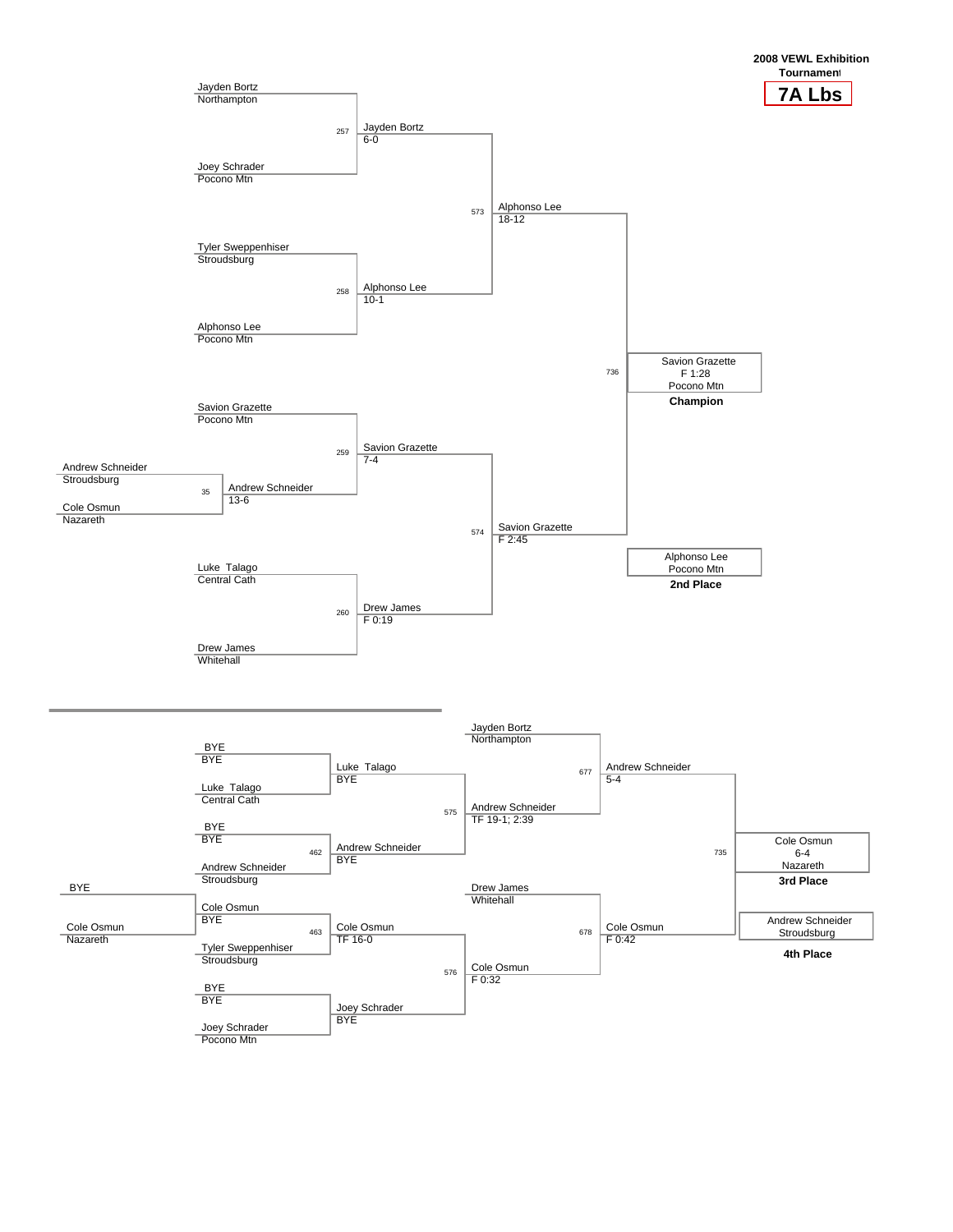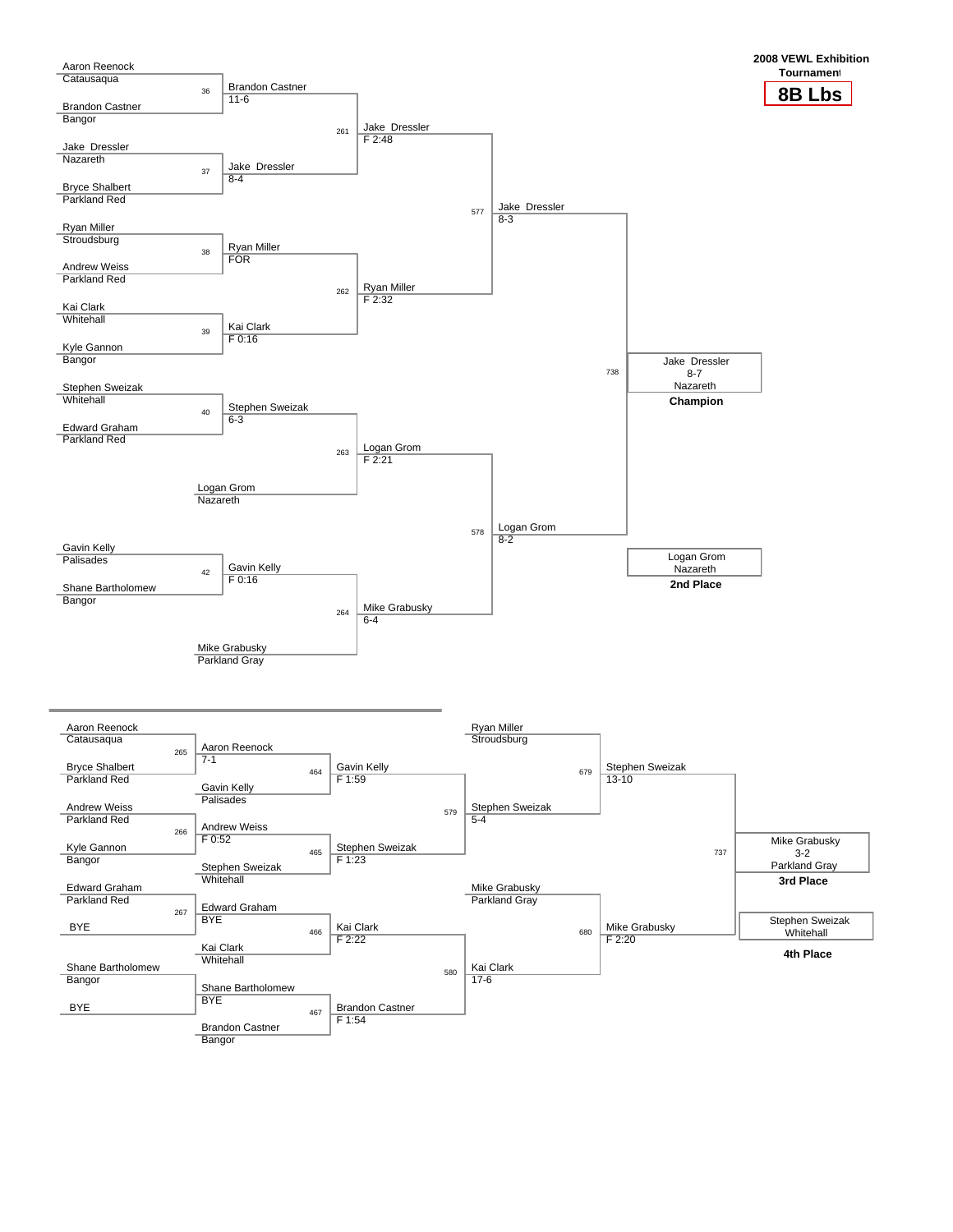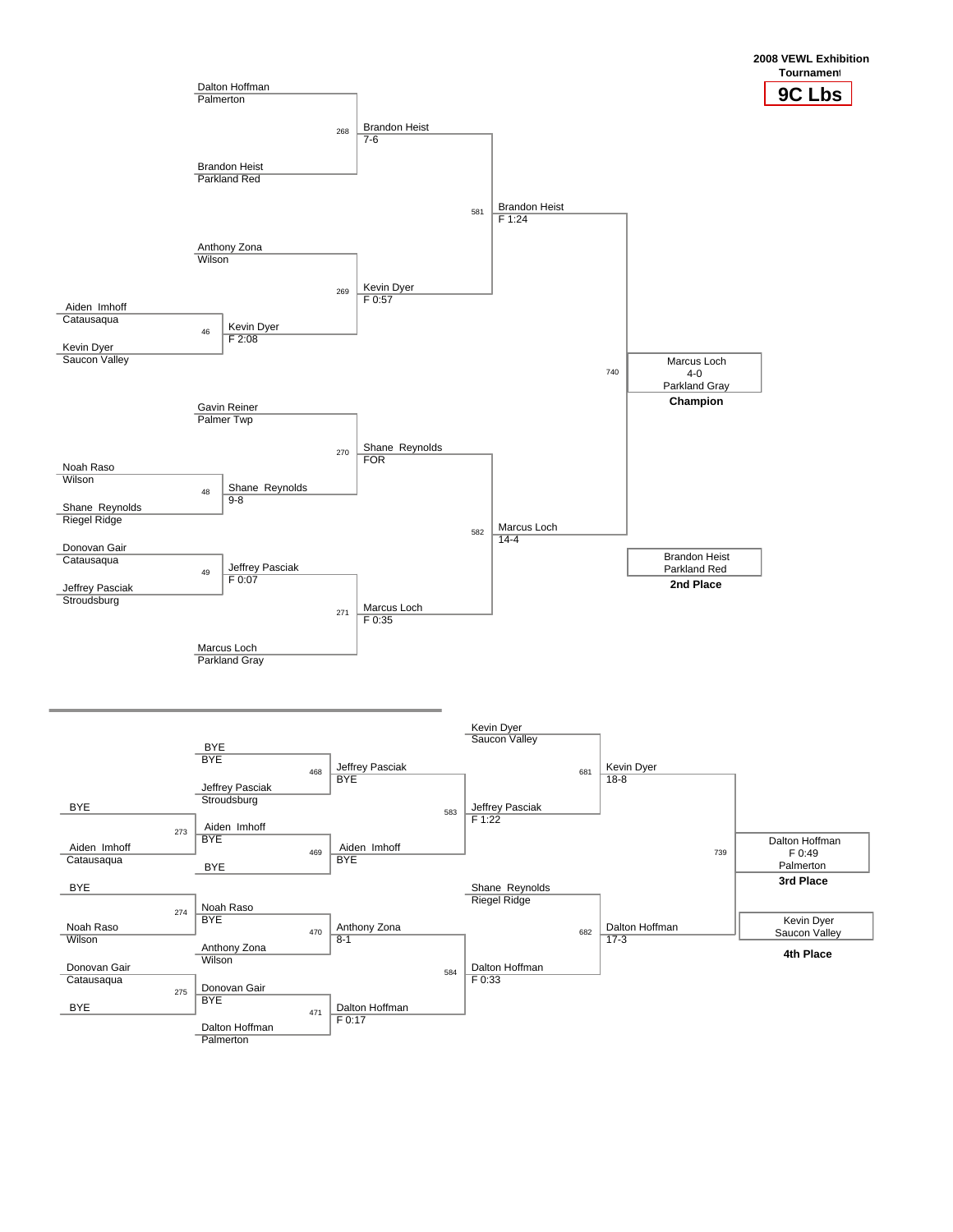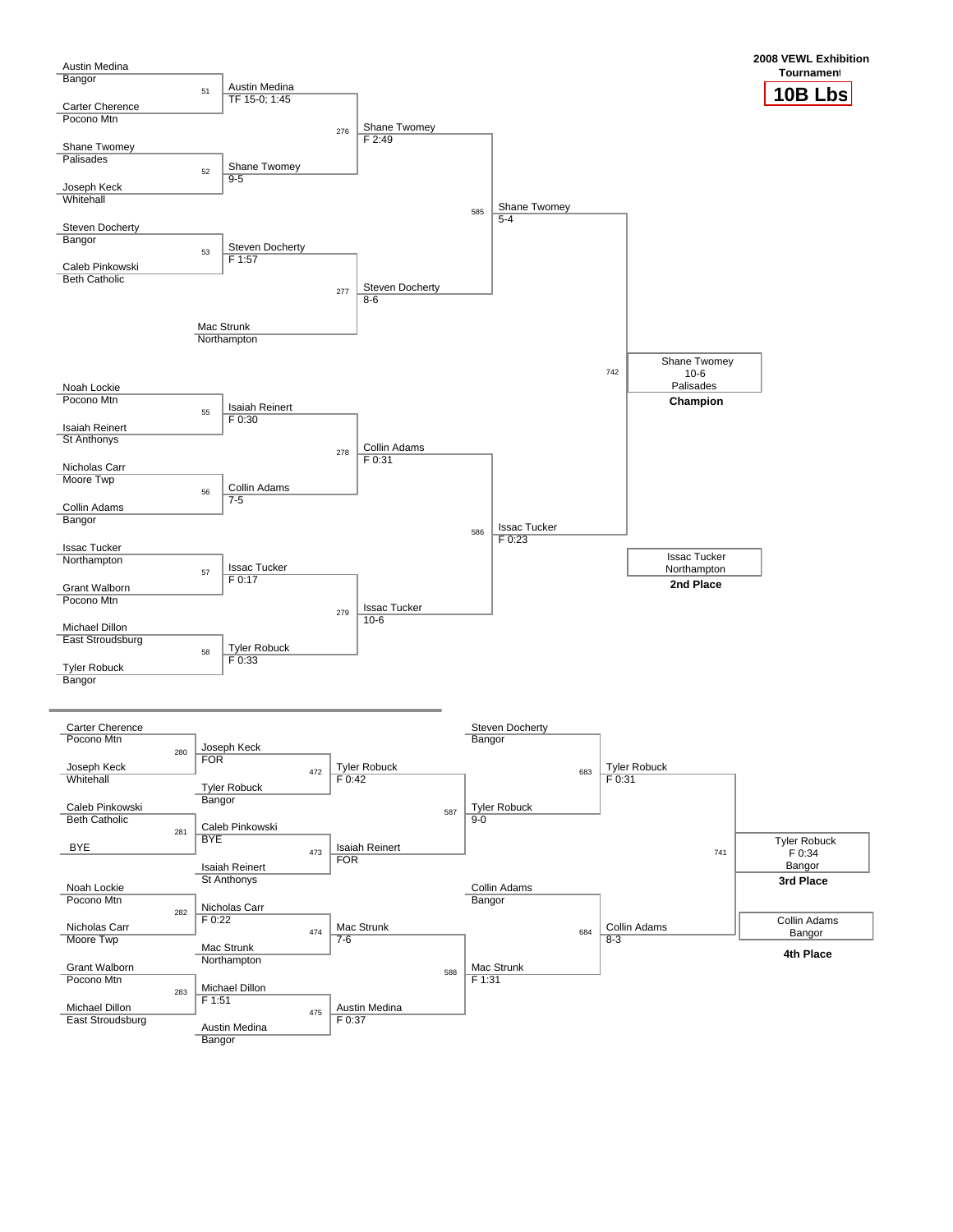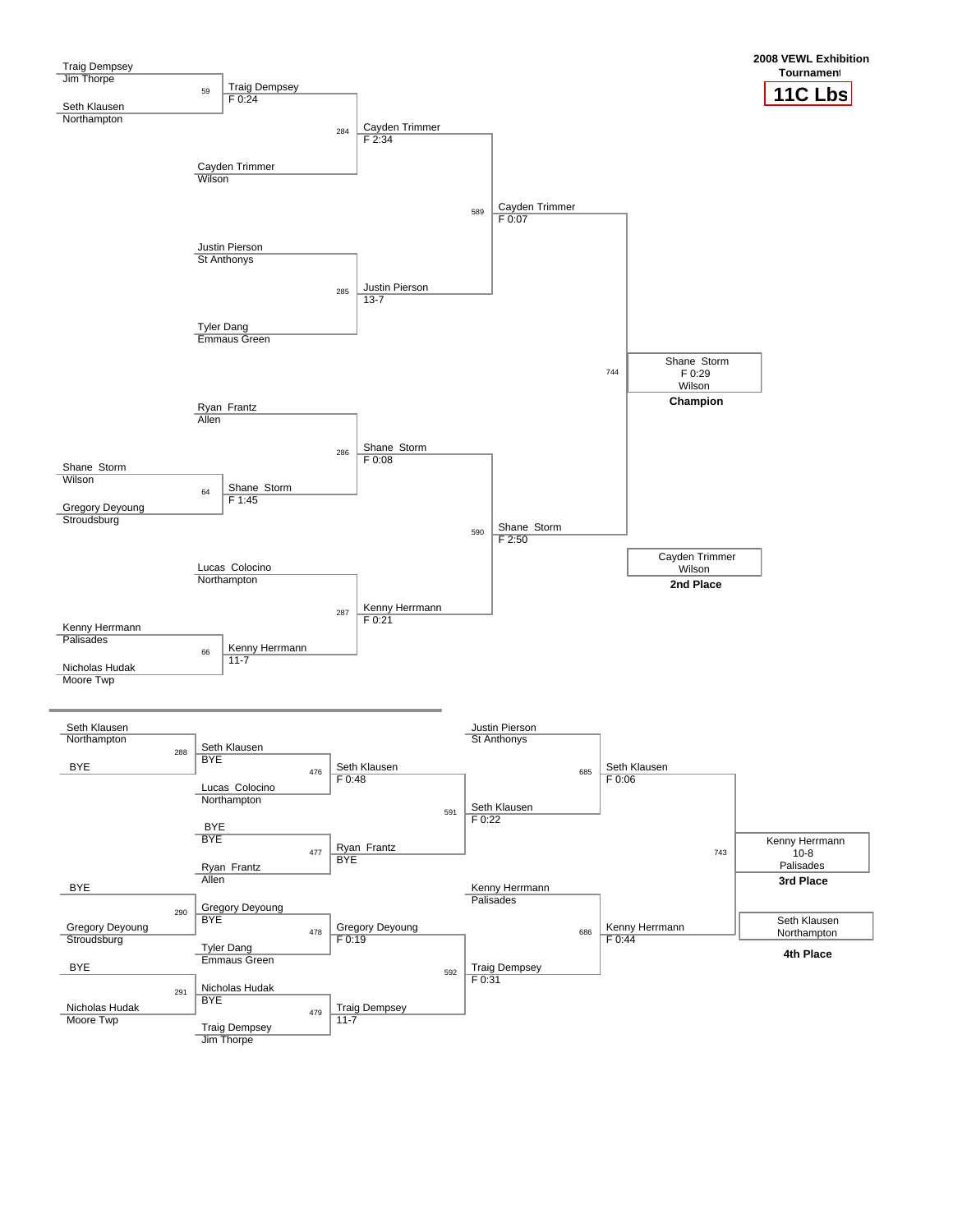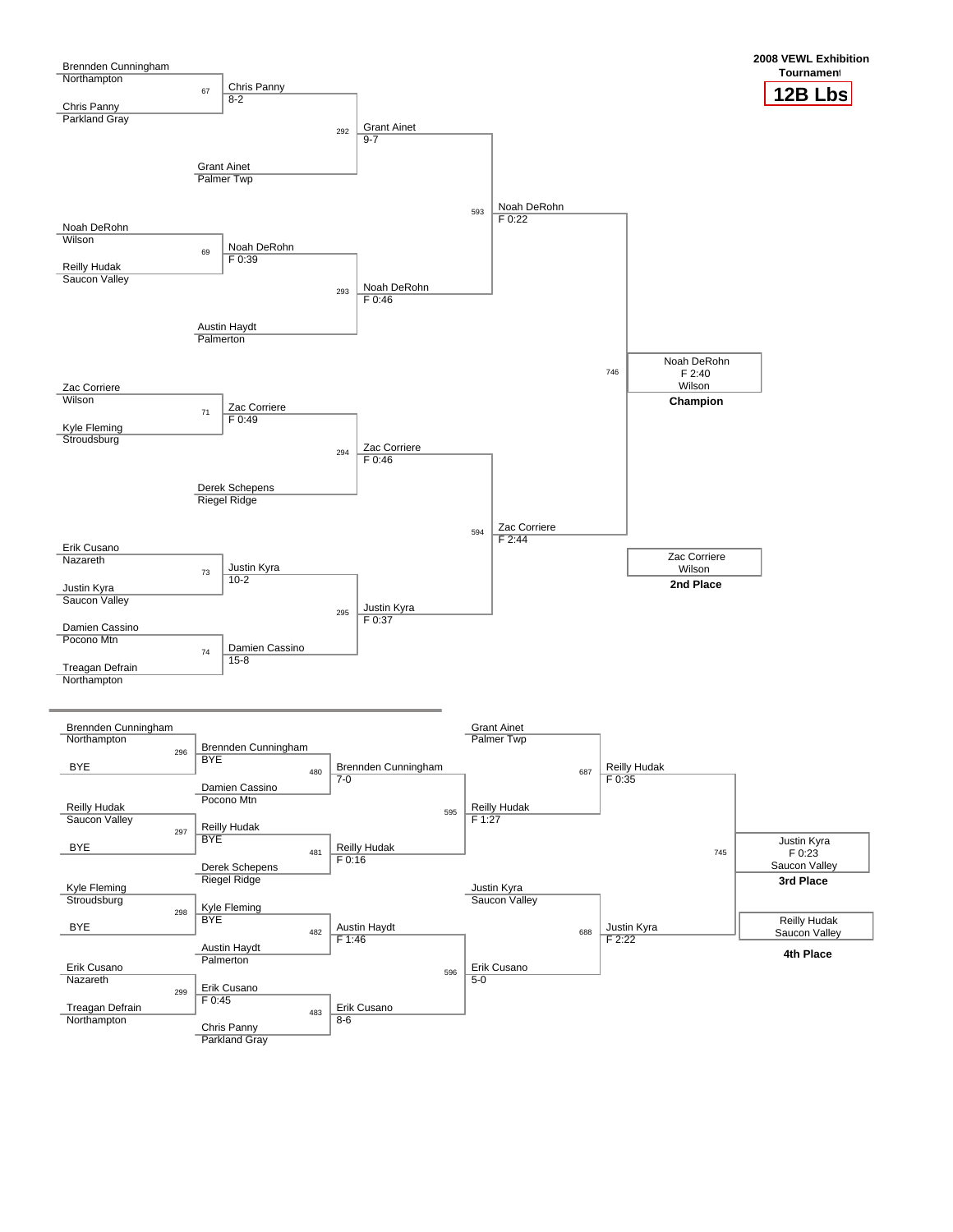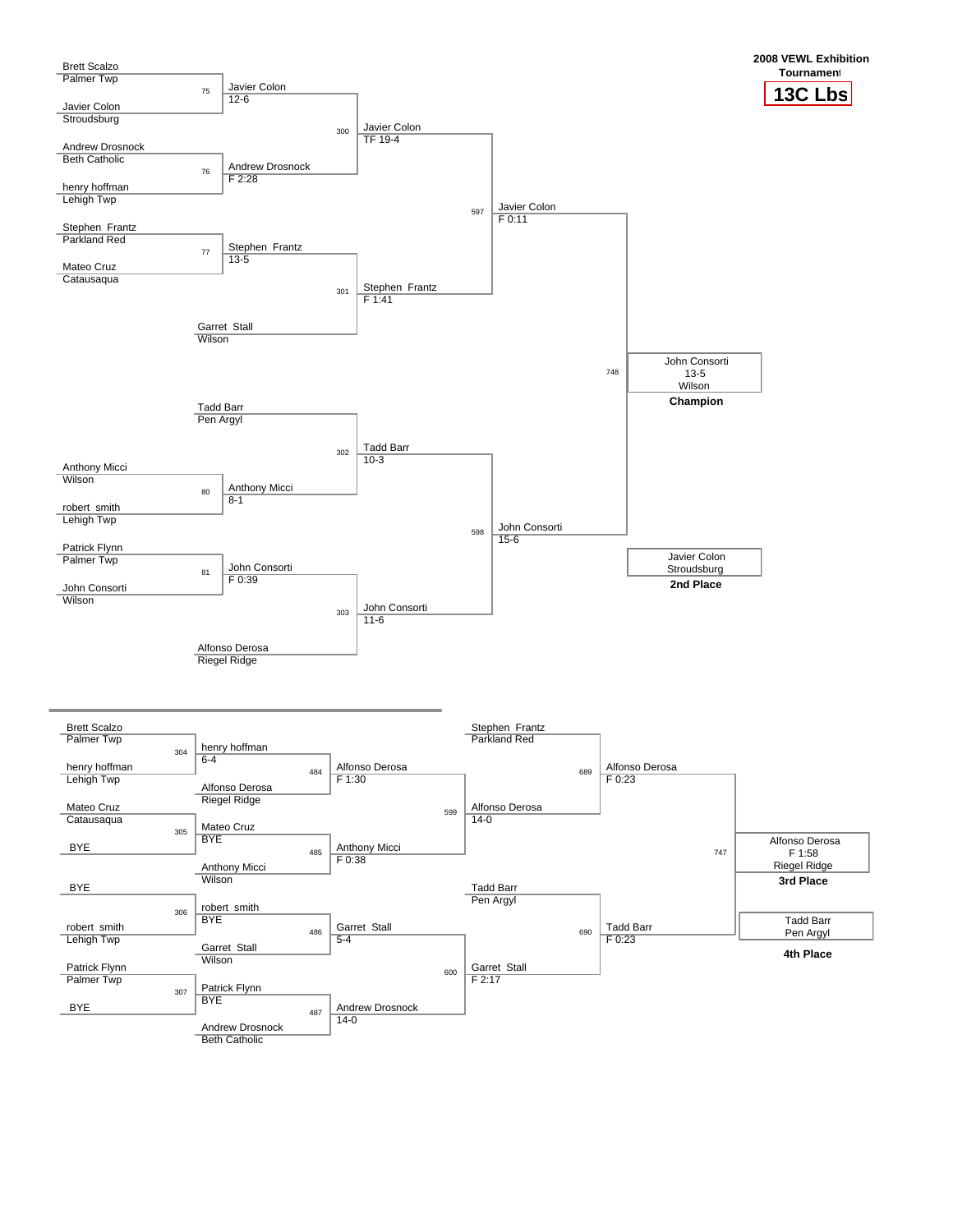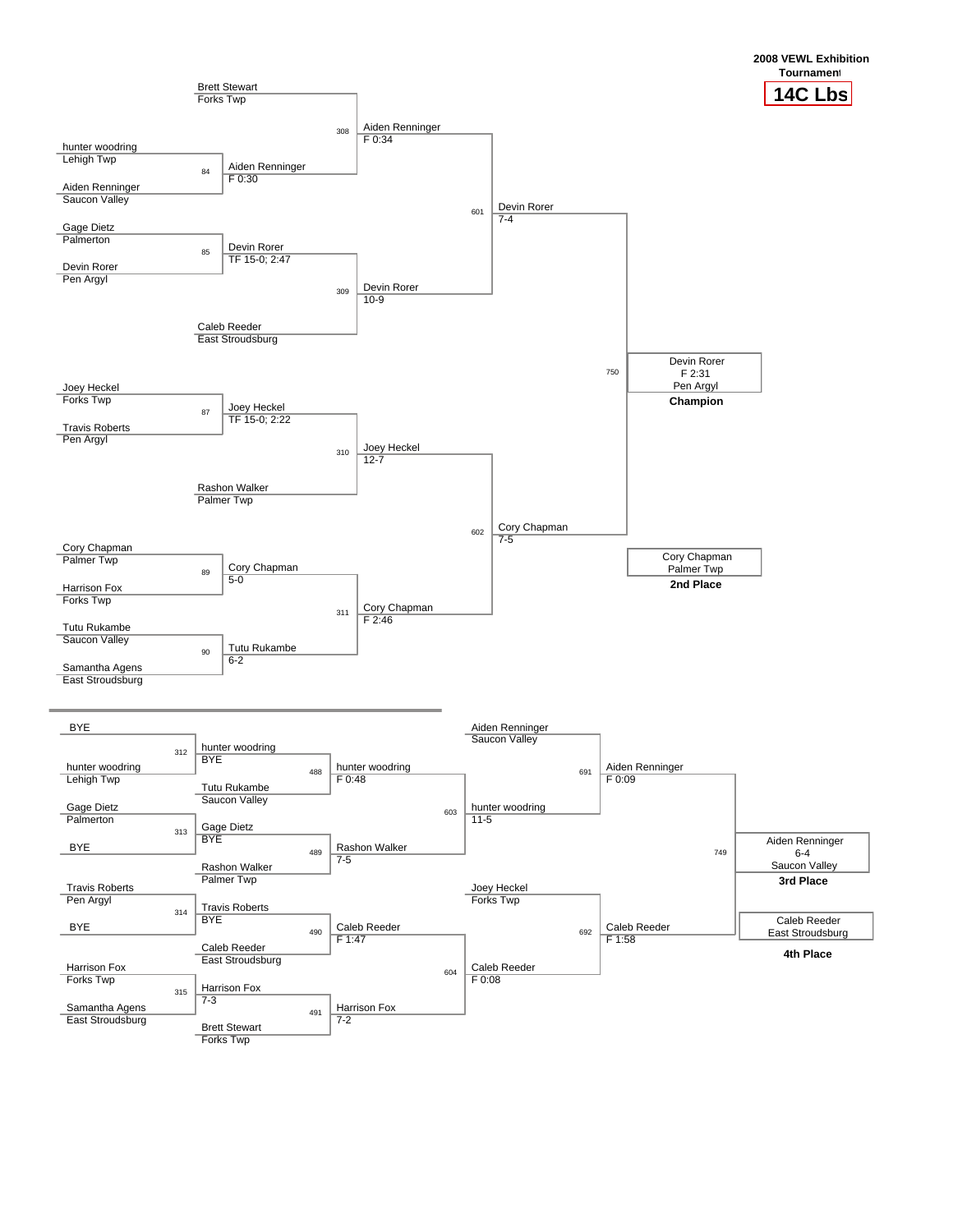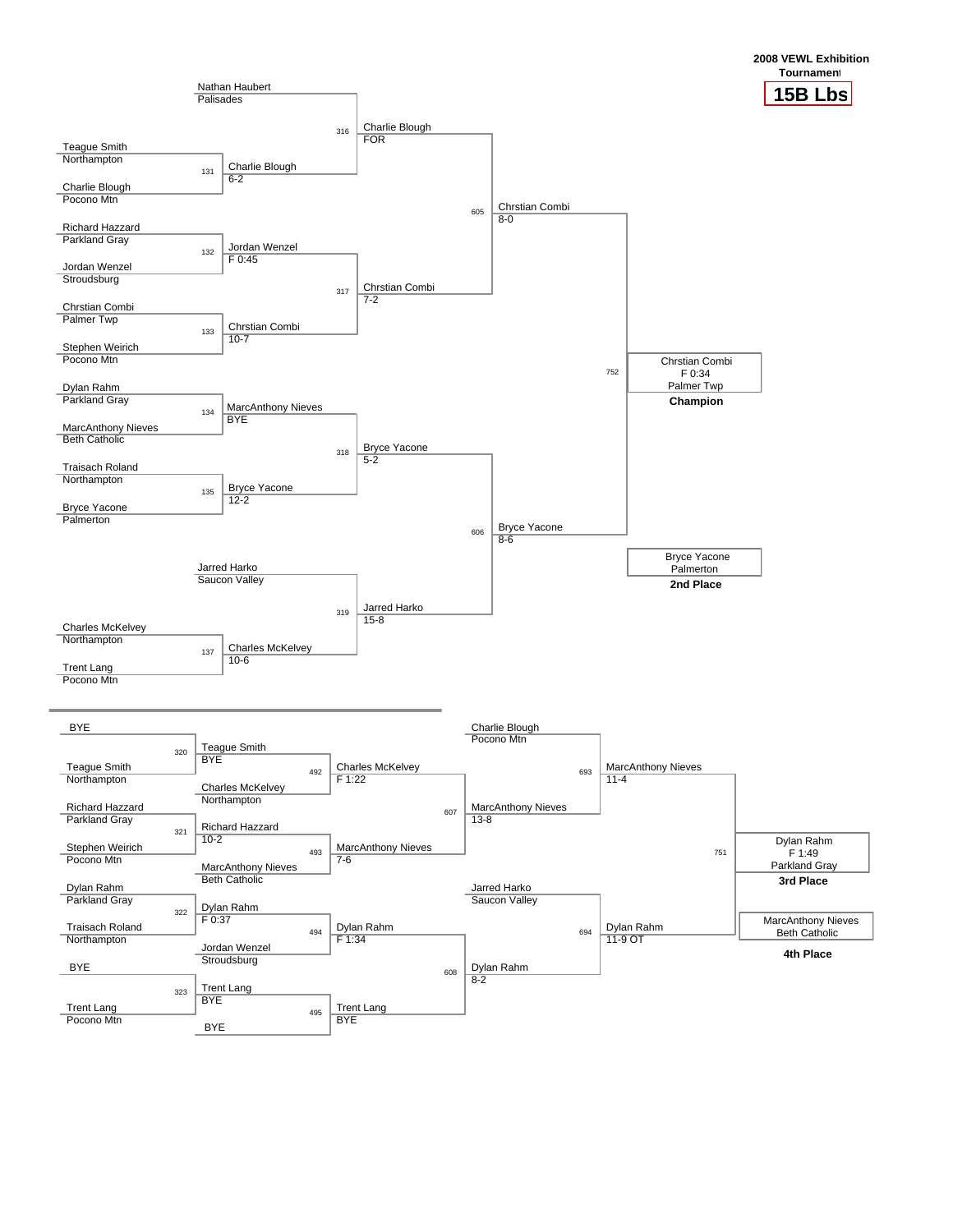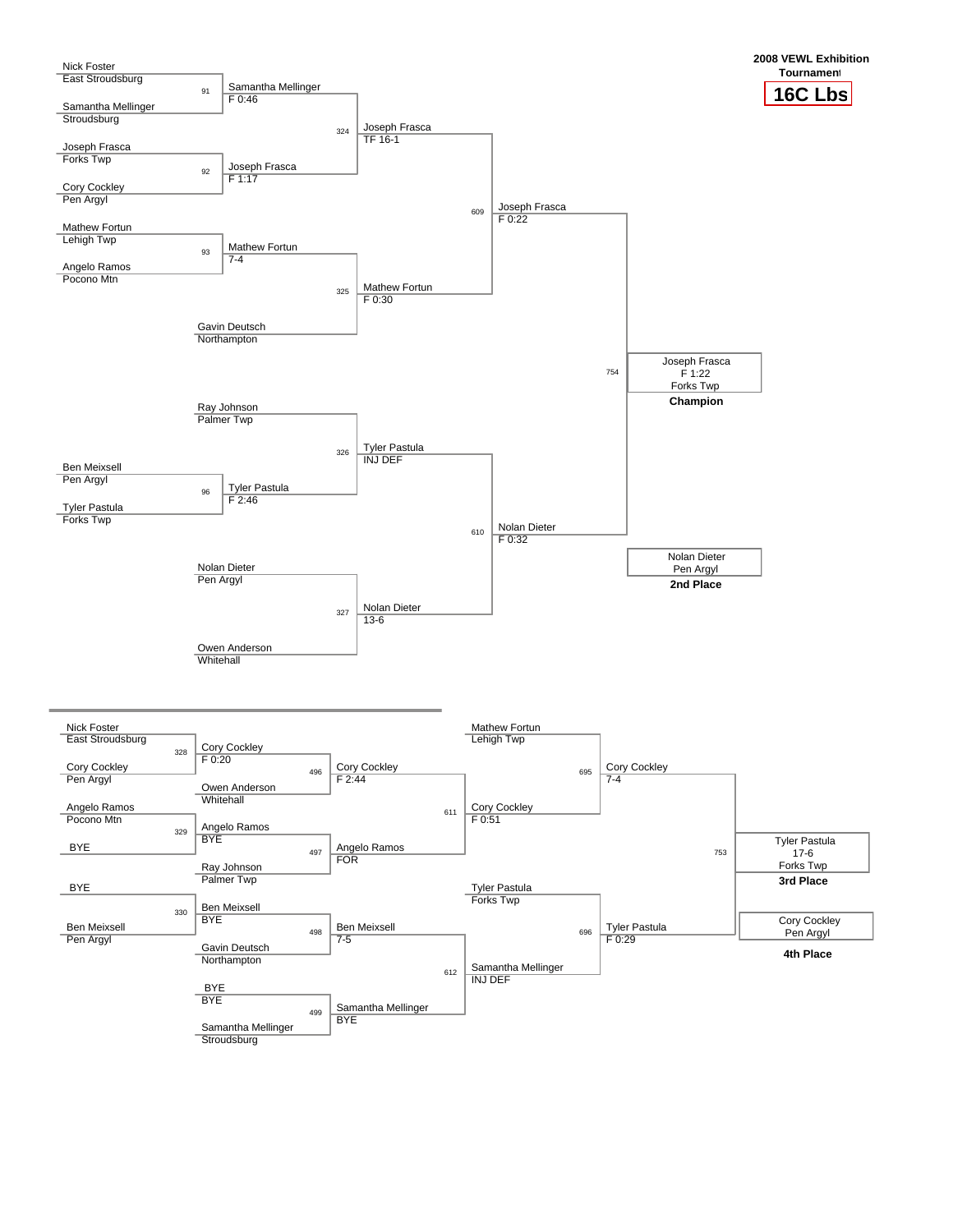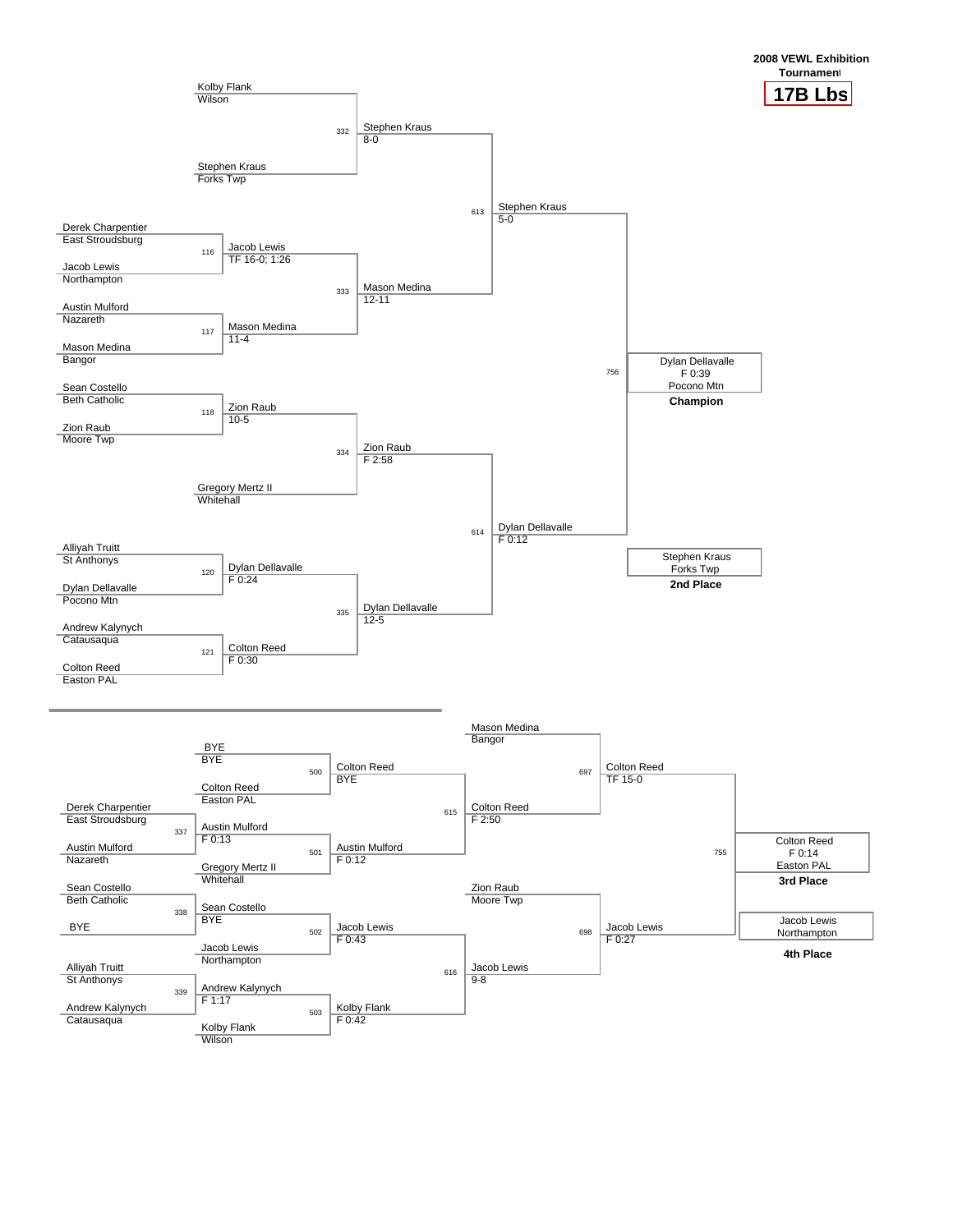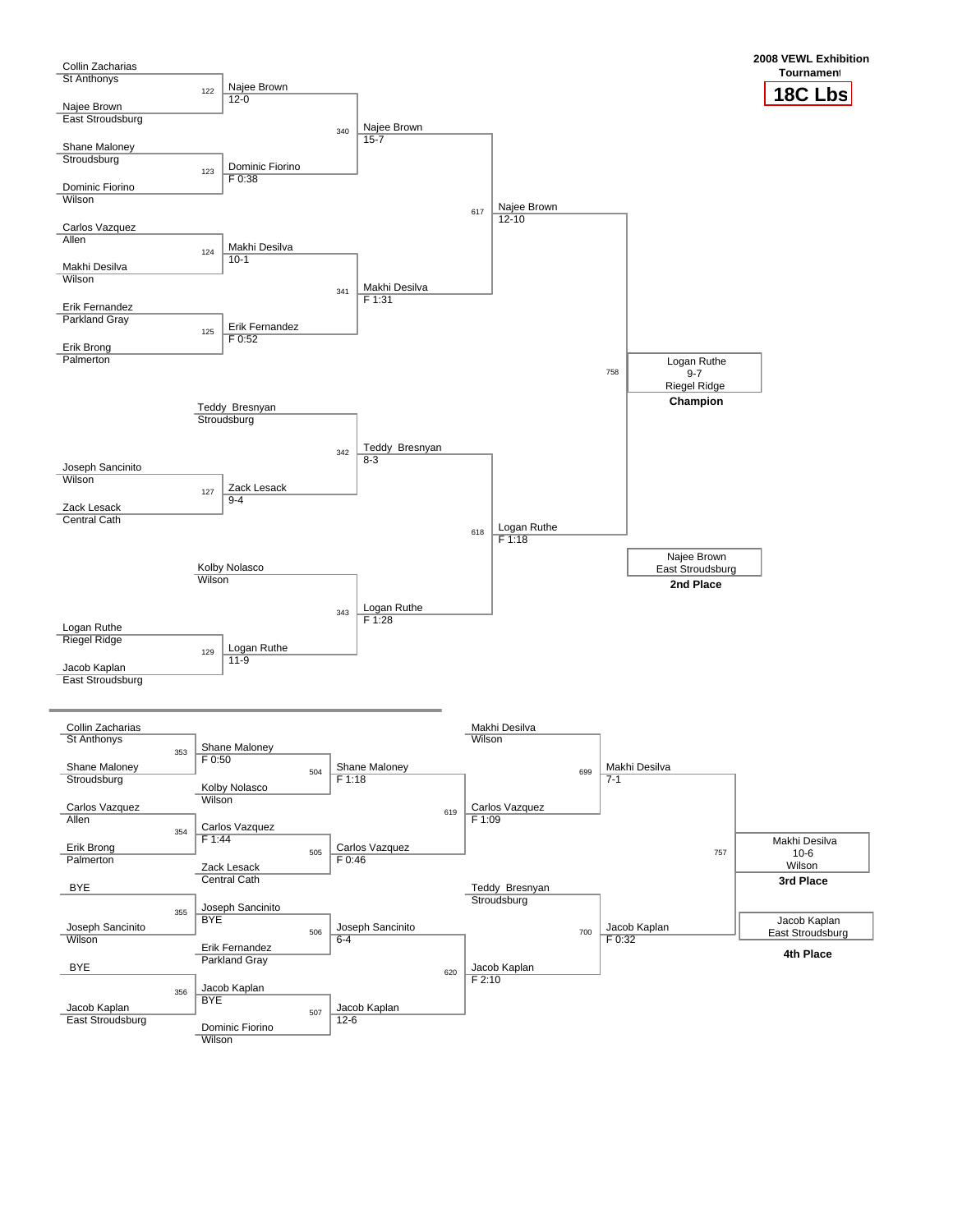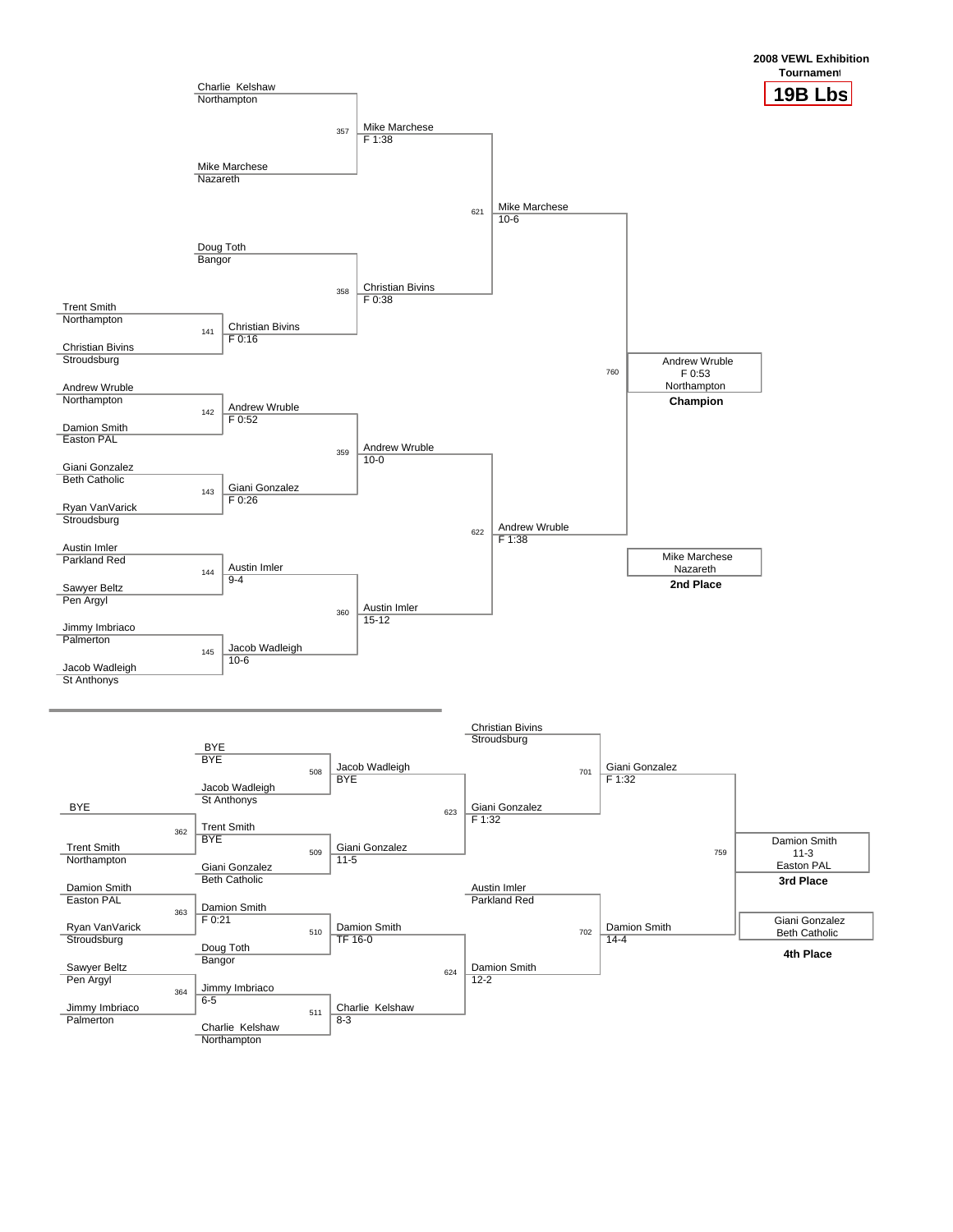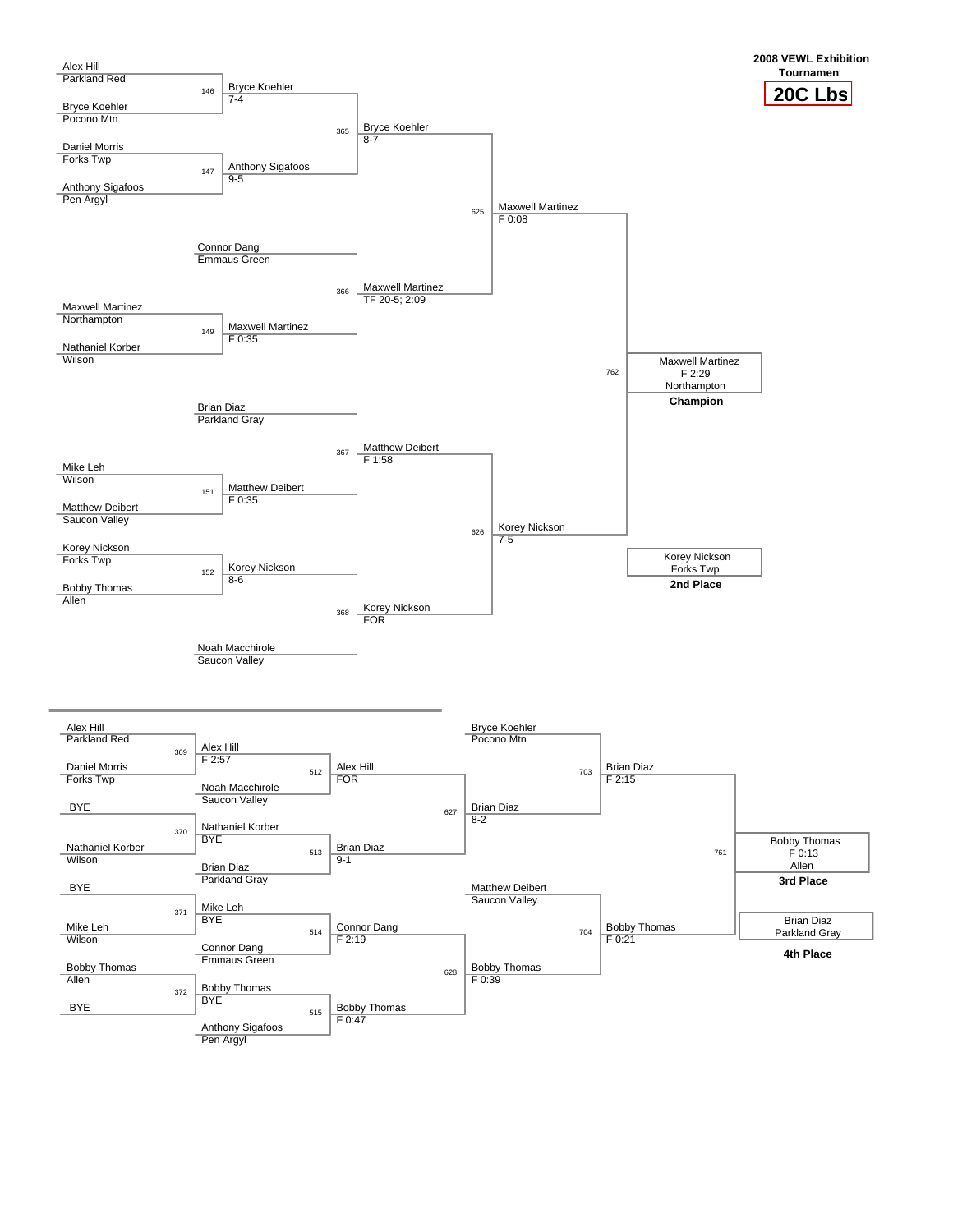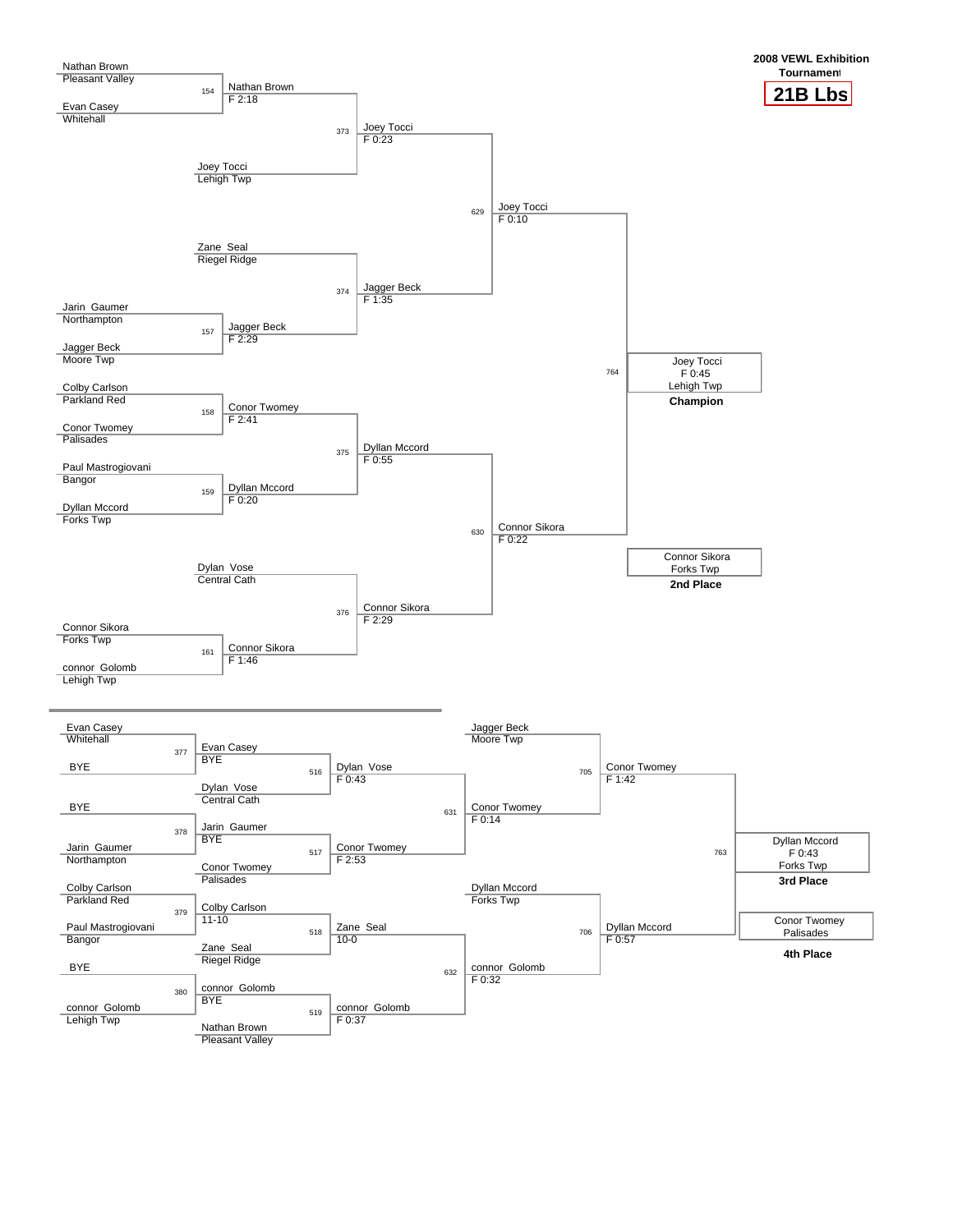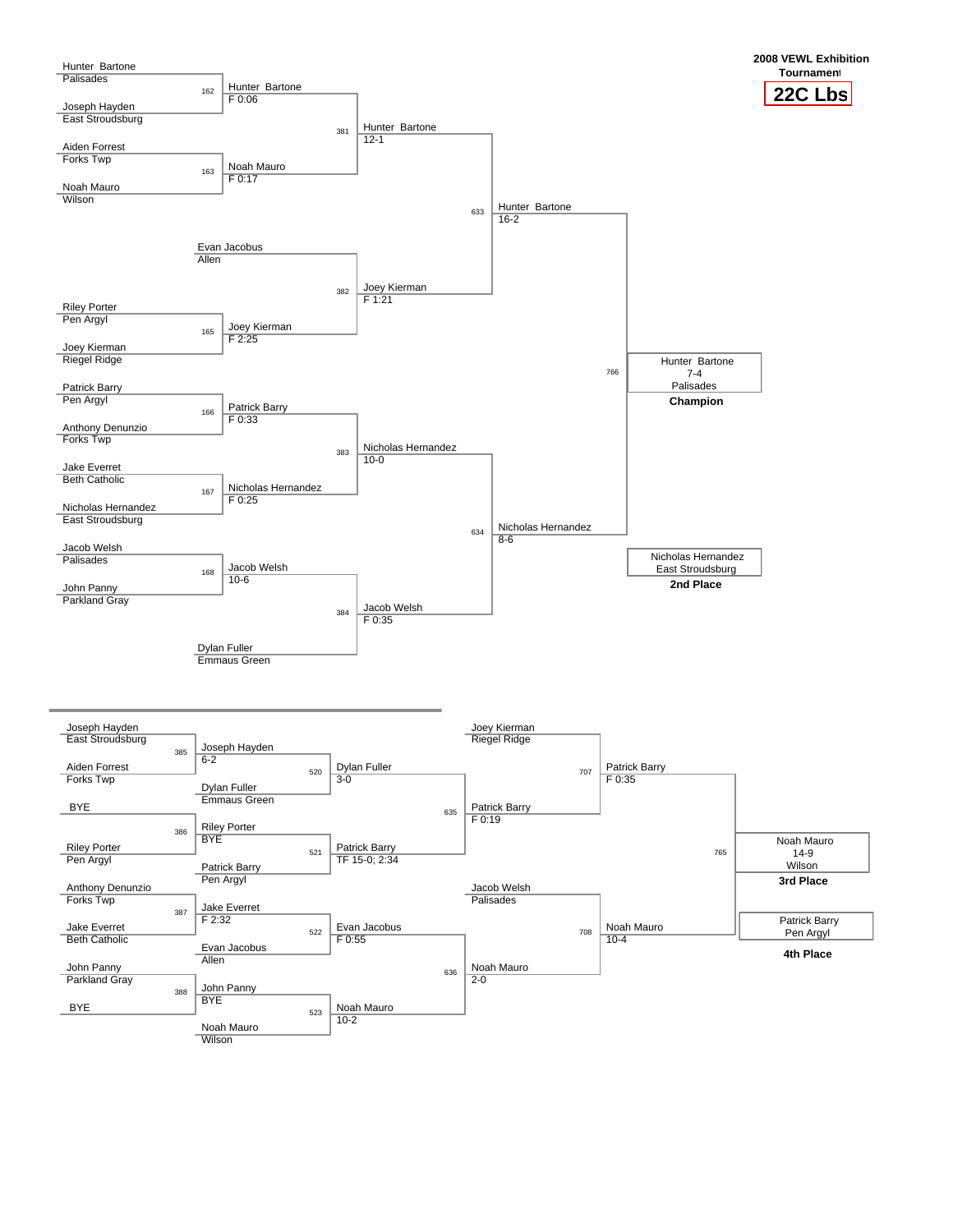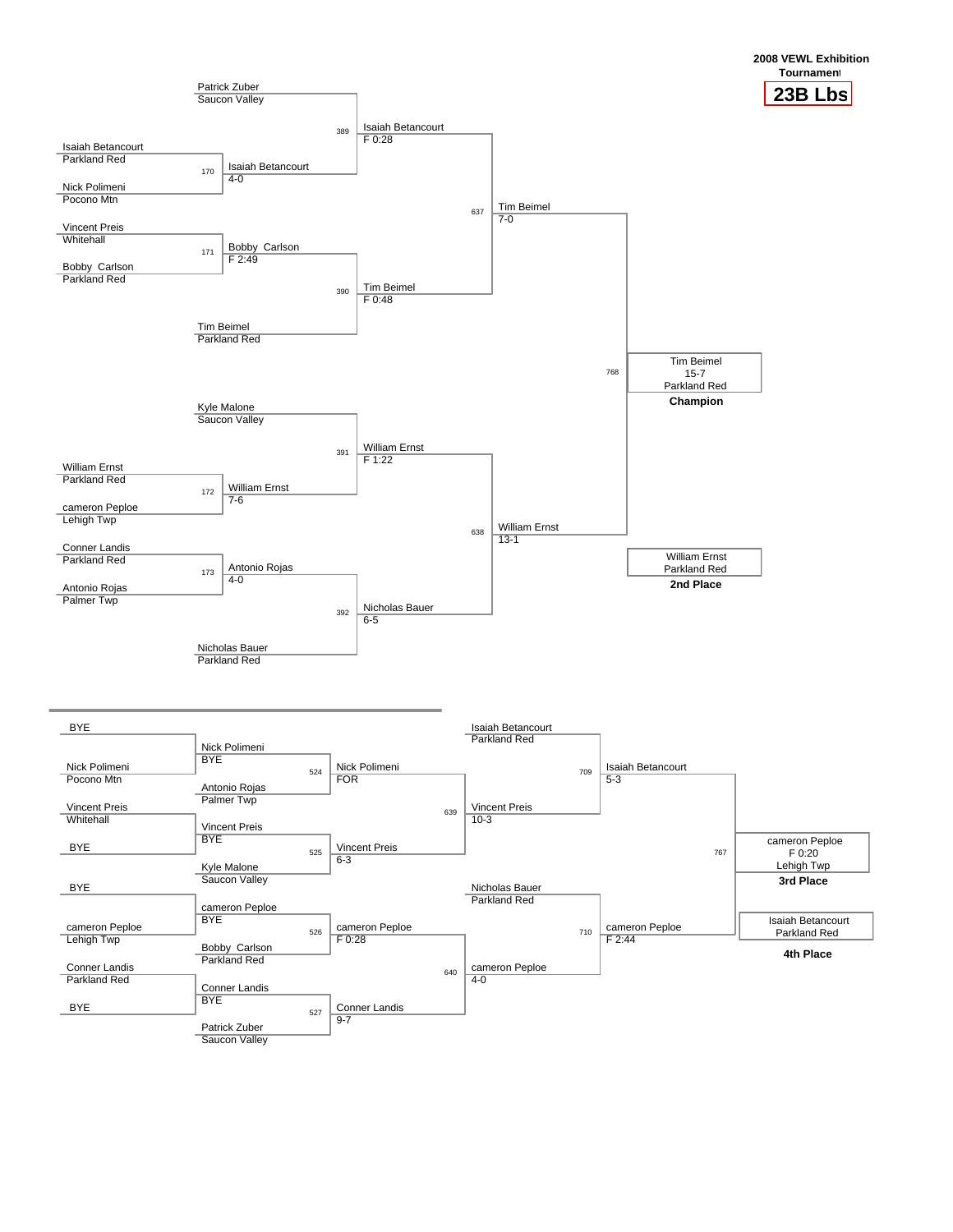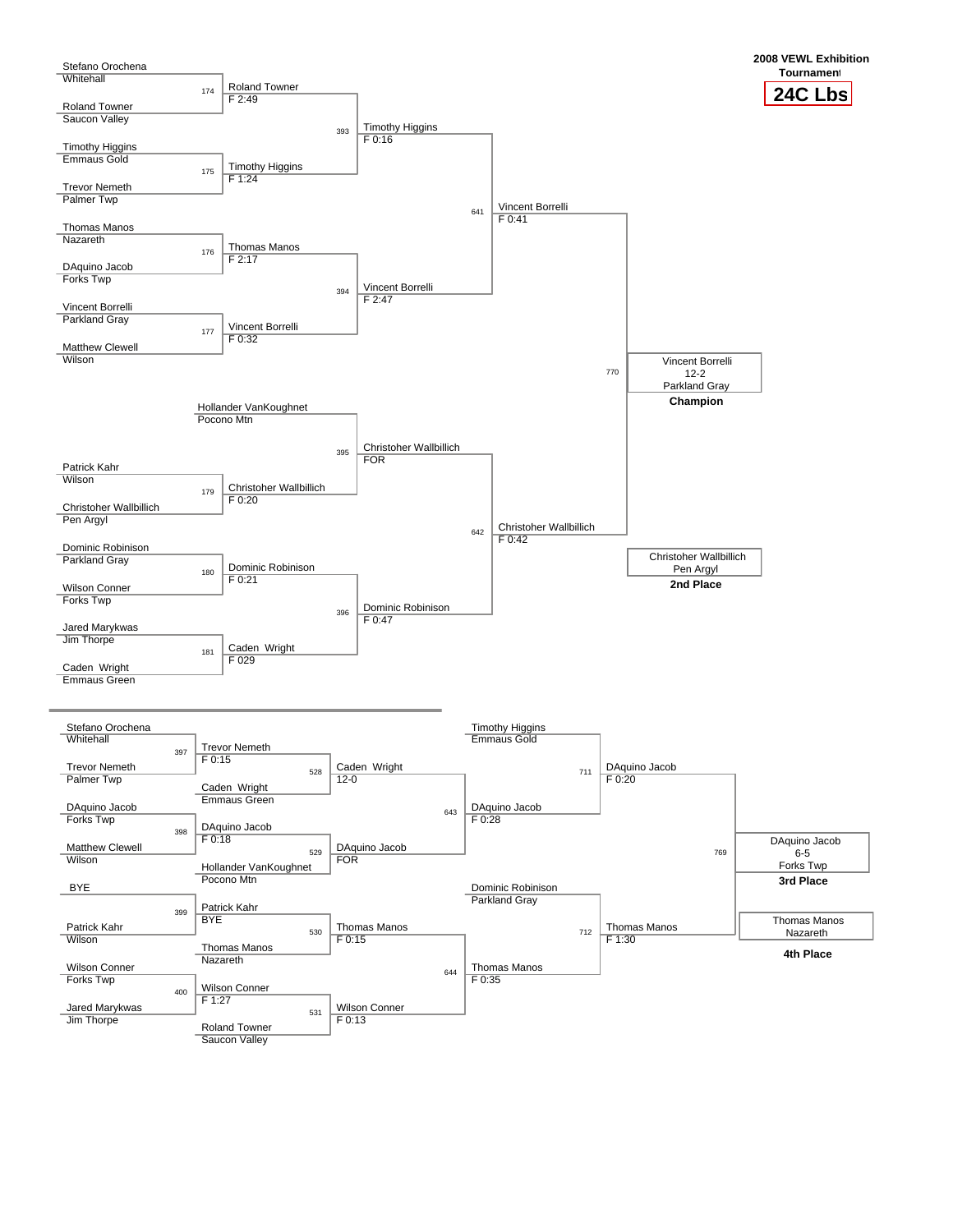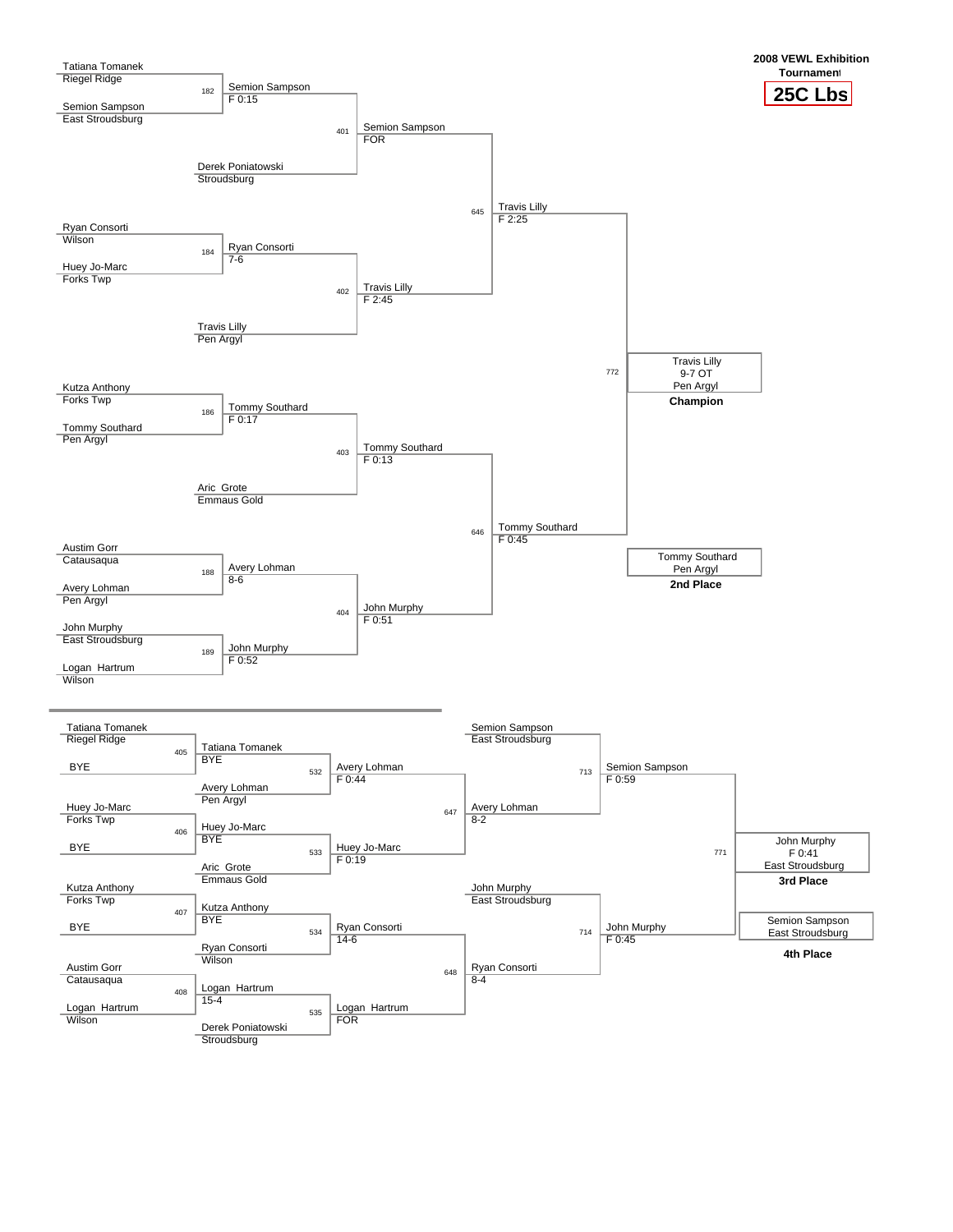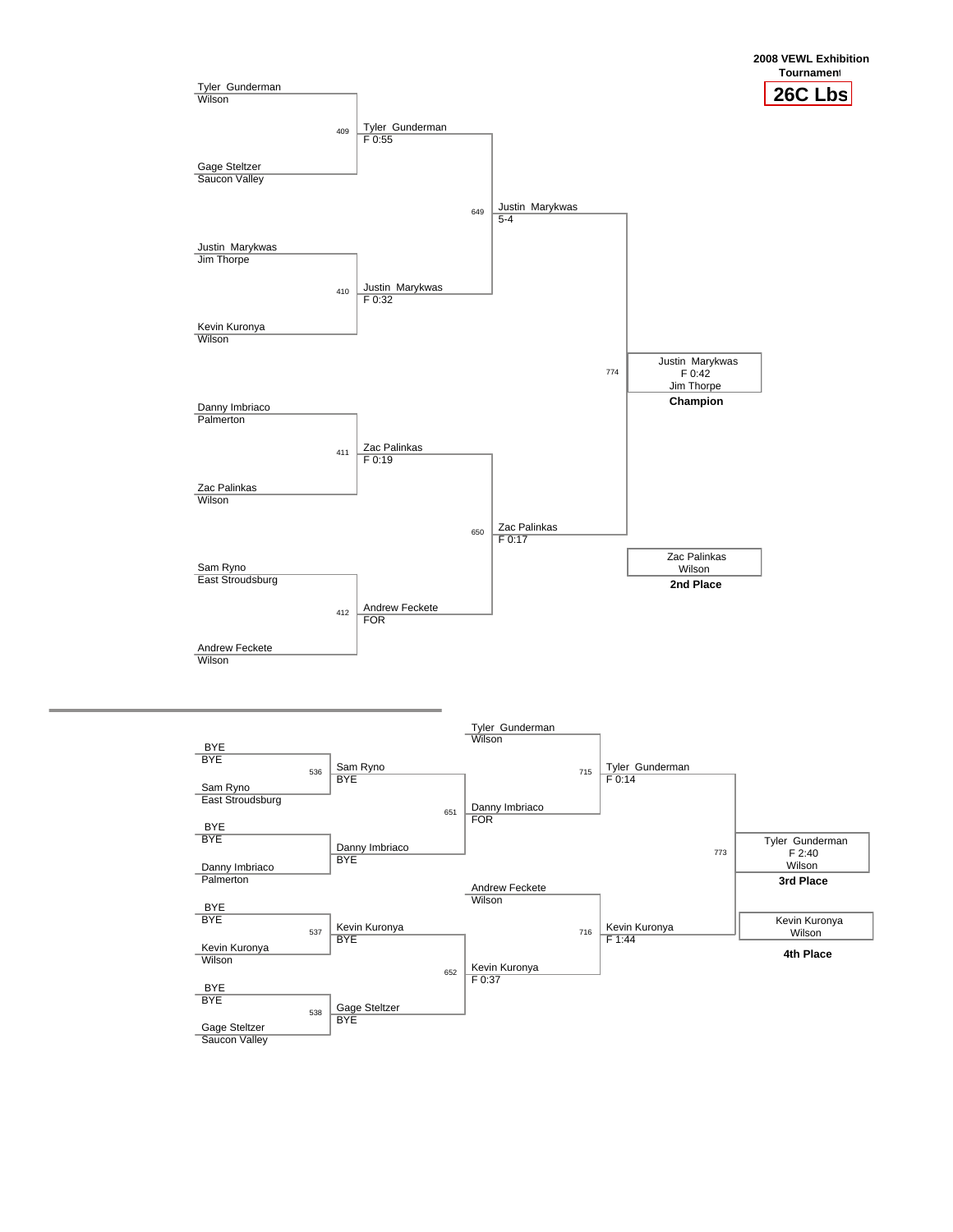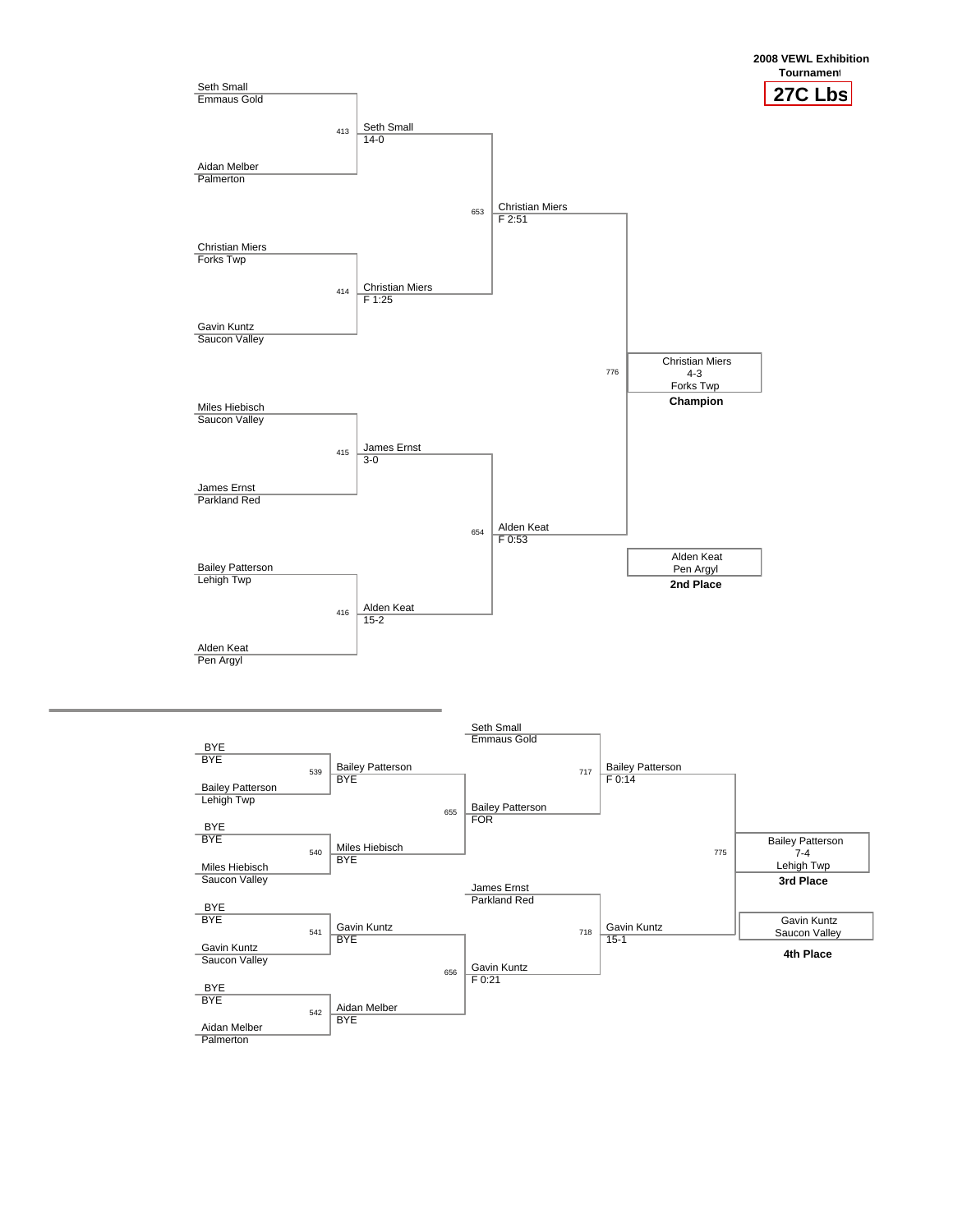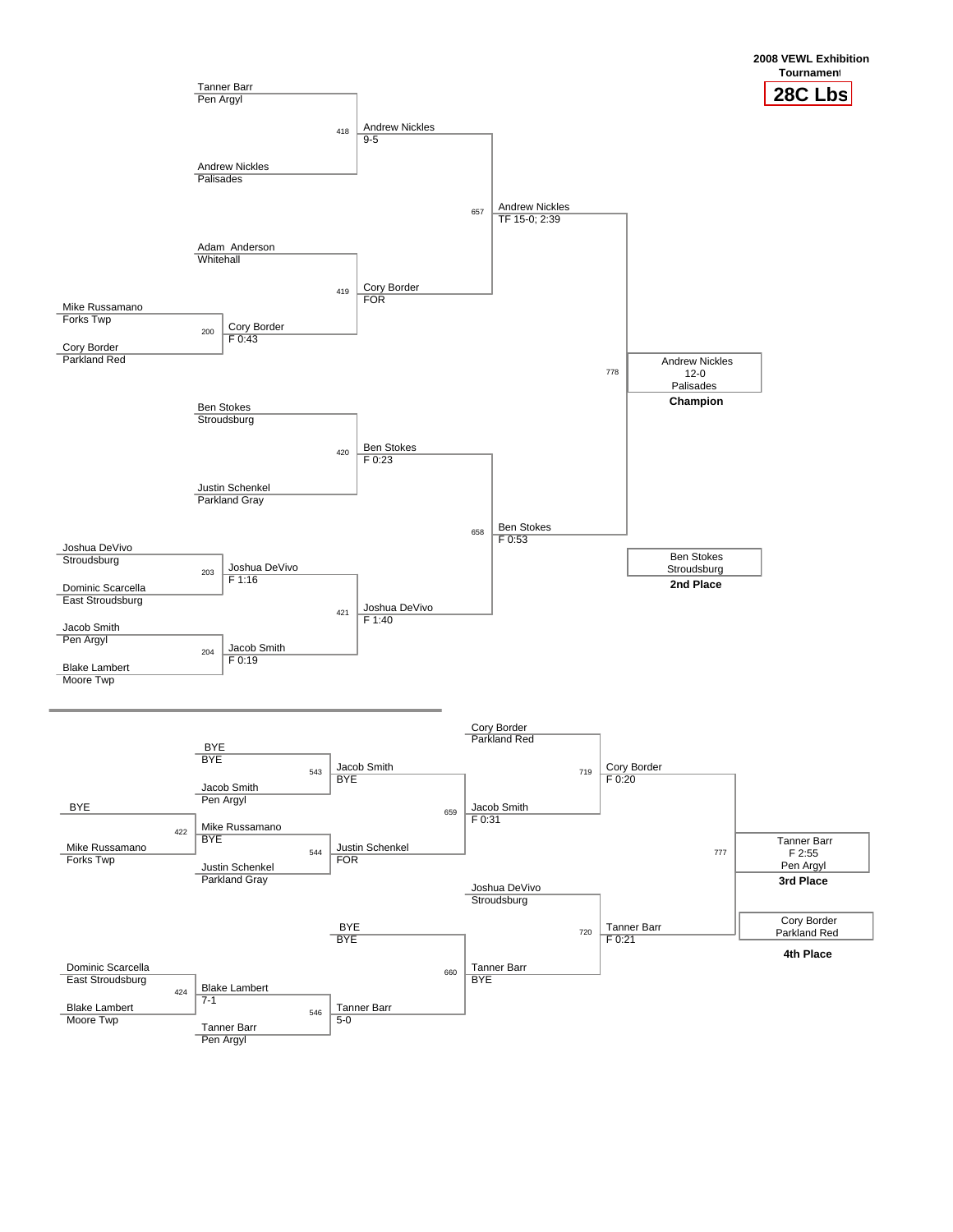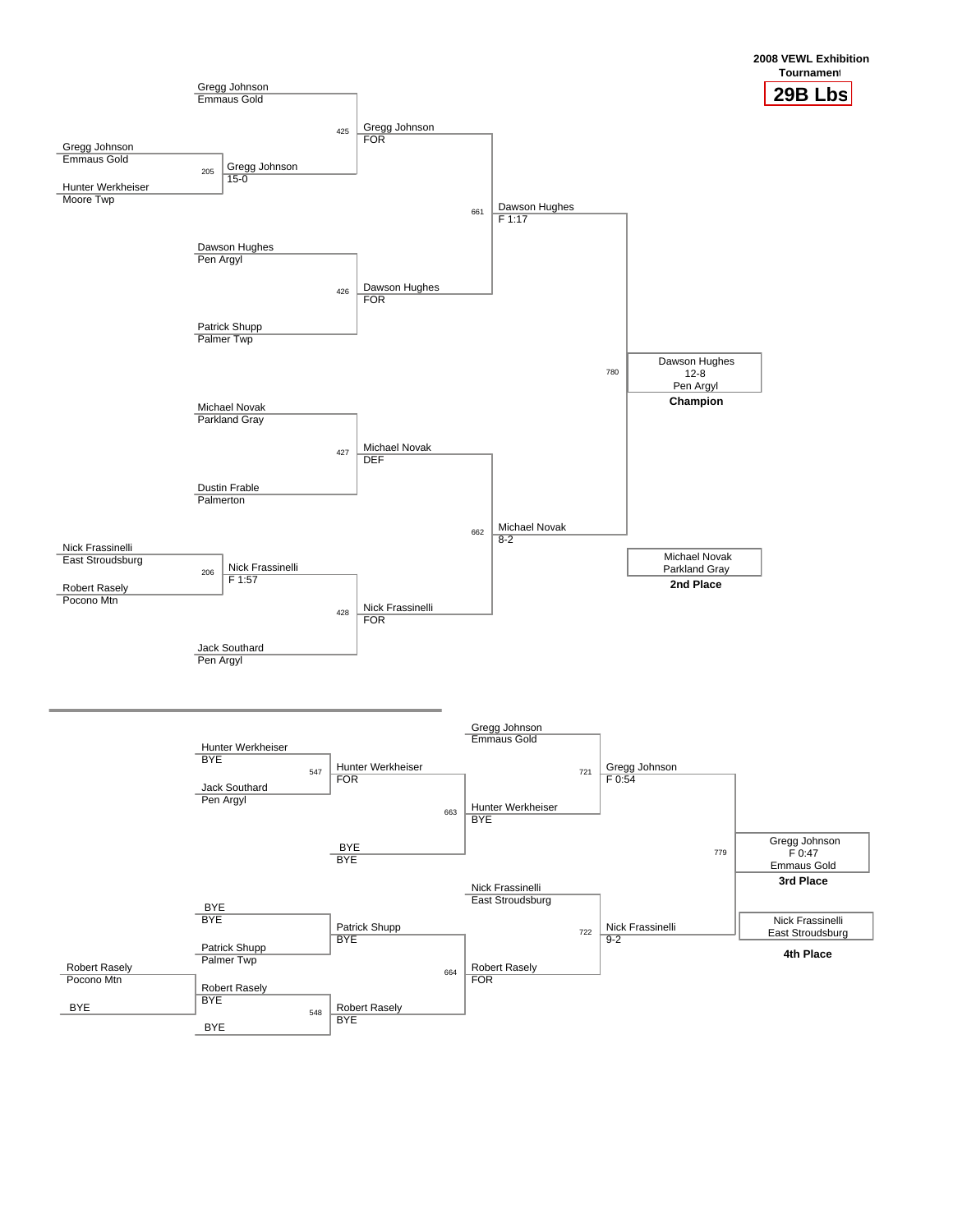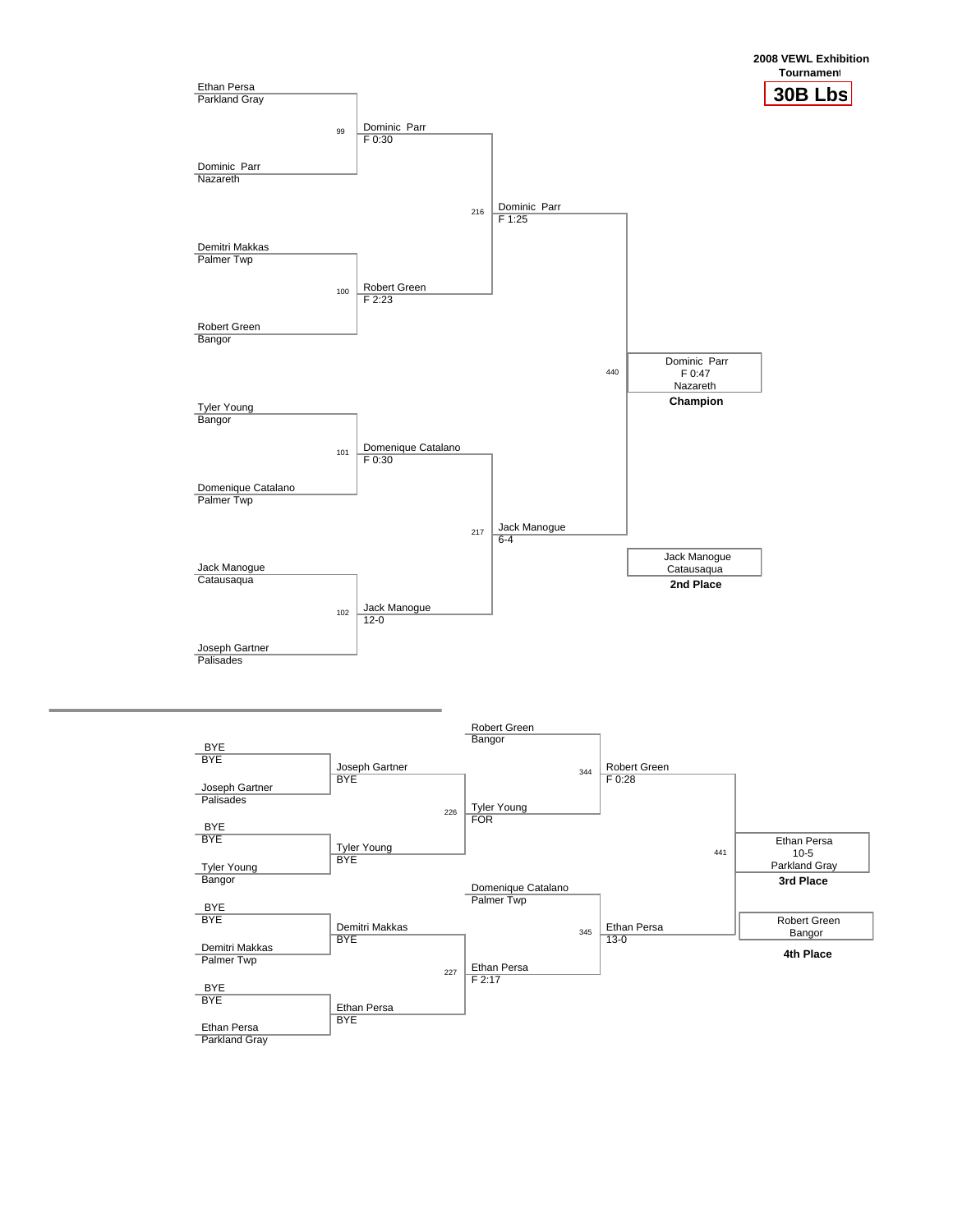

Parkland Gray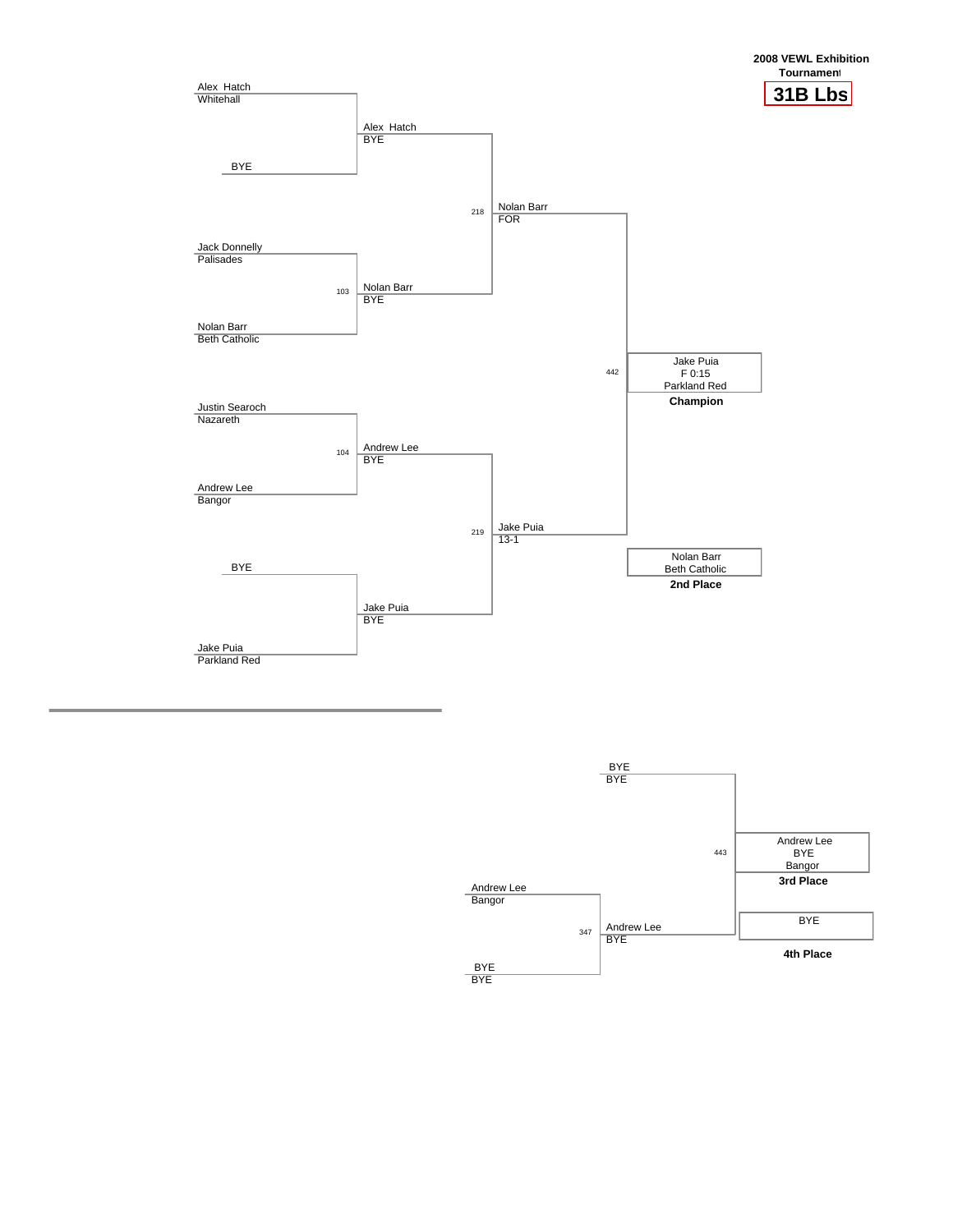

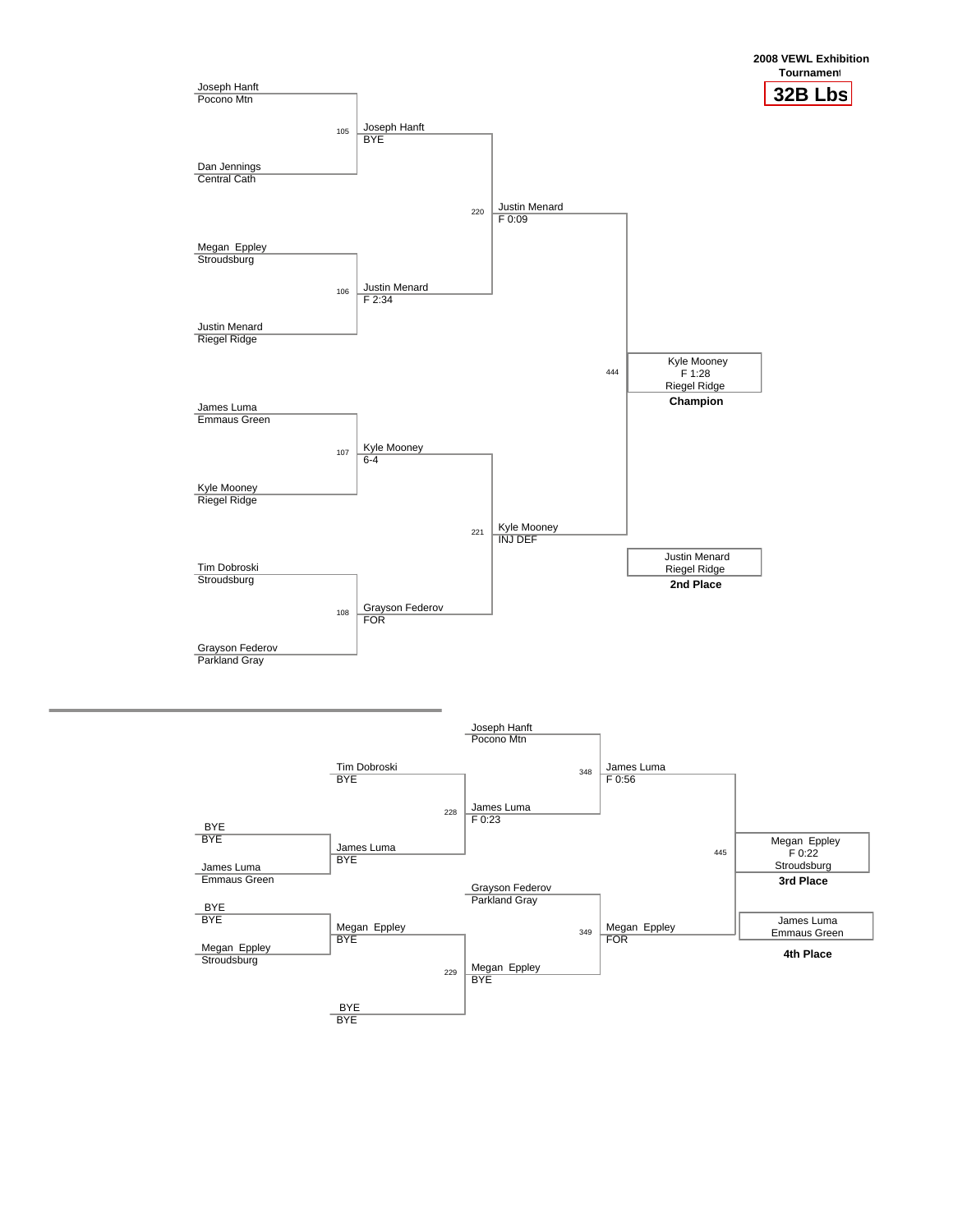

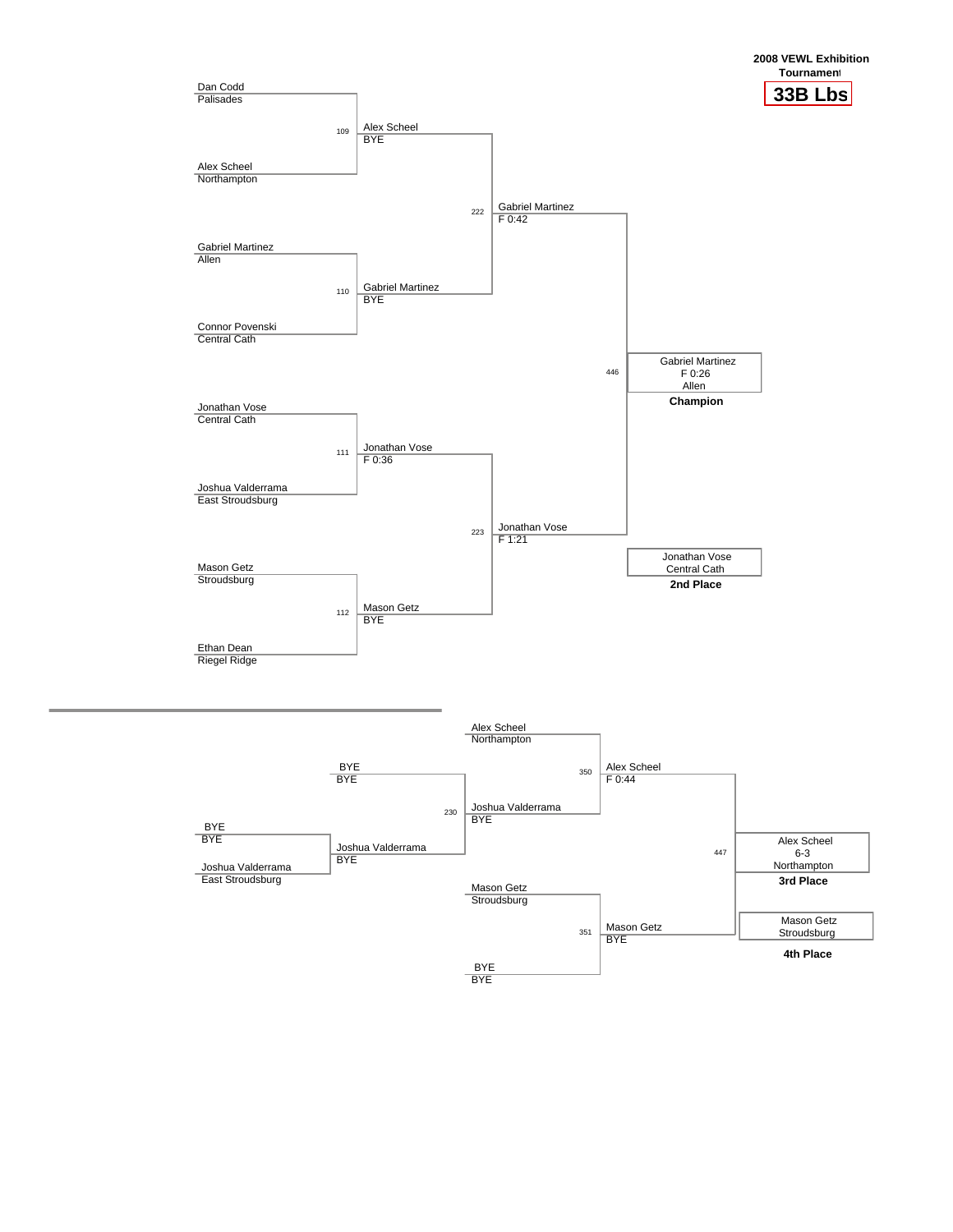

BYE BYE